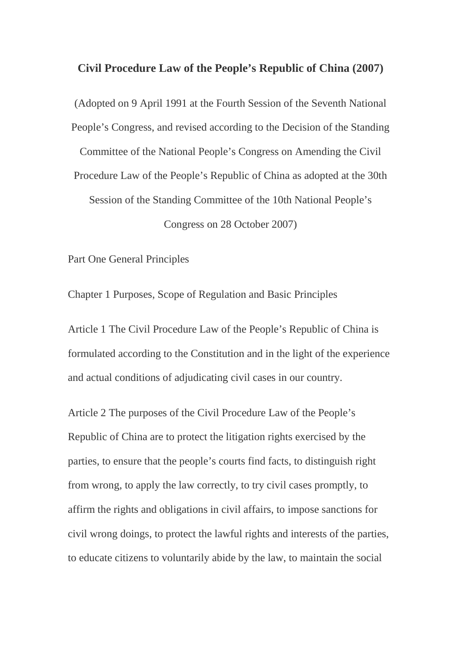## **Civil Procedure Law of the People's Republic of China (2007)**

(Adopted on 9 April 1991 at the Fourth Session of the Seventh National People's Congress, and revised according to the Decision of the Standing Committee of the National People's Congress on Amending the Civil Procedure Law of the People's Republic of China as adopted at the 30th Session of the Standing Committee of the 10th National People's Congress on 28 October 2007)

Part One General Principles

Chapter 1 Purposes, Scope of Regulation and Basic Principles

Article 1 The Civil Procedure Law of the People's Republic of China is formulated according to the Constitution and in the light of the experience and actual conditions of adjudicating civil cases in our country.

Article 2 The purposes of the Civil Procedure Law of the People's Republic of China are to protect the litigation rights exercised by the parties, to ensure that the people's courts find facts, to distinguish right from wrong, to apply the law correctly, to try civil cases promptly, to affirm the rights and obligations in civil affairs, to impose sanctions for civil wrong doings, to protect the lawful rights and interests of the parties, to educate citizens to voluntarily abide by the law, to maintain the social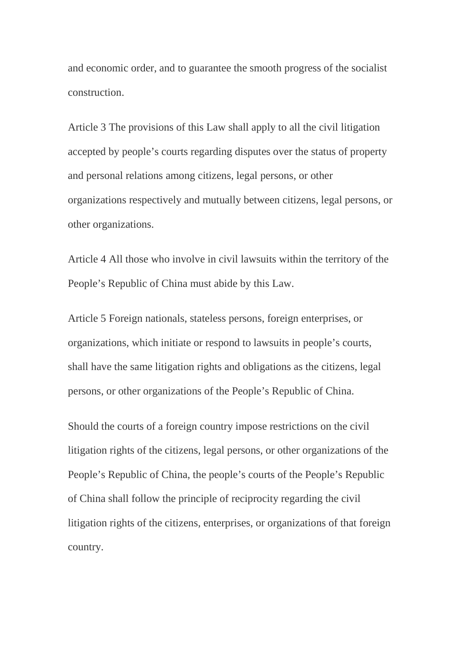and economic order, and to guarantee the smooth progress of the socialist construction.

Article 3 The provisions of this Law shall apply to all the civil litigation accepted by people's courts regarding disputes over the status of property and personal relations among citizens, legal persons, or other organizations respectively and mutually between citizens, legal persons, or other organizations.

Article 4 All those who involve in civil lawsuits within the territory of the People's Republic of China must abide by this Law.

Article 5 Foreign nationals, stateless persons, foreign enterprises, or organizations, which initiate or respond to lawsuits in people's courts, shall have the same litigation rights and obligations as the citizens, legal persons, or other organizations of the People's Republic of China.

Should the courts of a foreign country impose restrictions on the civil litigation rights of the citizens, legal persons, or other organizations of the People's Republic of China, the people's courts of the People's Republic of China shall follow the principle of reciprocity regarding the civil litigation rights of the citizens, enterprises, or organizations of that foreign country.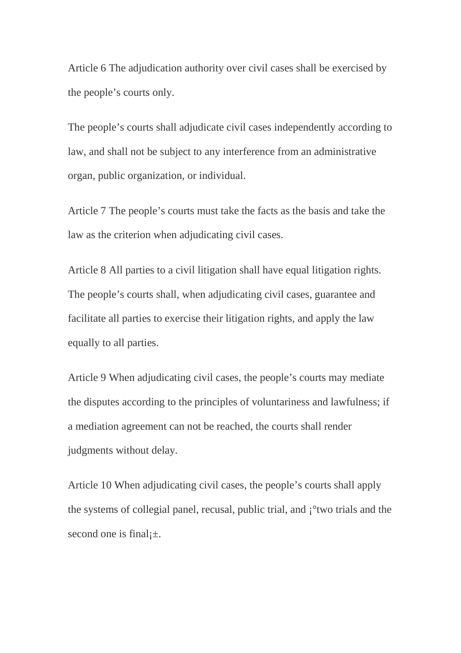Article 6 The adjudication authority over civil cases shall be exercised by the people's courts only.

The people's courts shall adjudicate civil cases independently according to law, and shall not be subject to any interference from an administrative organ, public organization, or individual.

Article 7 The people's courts must take the facts as the basis and take the law as the criterion when adjudicating civil cases.

Article 8 All parties to a civil litigation shall have equal litigation rights. The people's courts shall, when adjudicating civil cases, guarantee and facilitate all parties to exercise their litigation rights, and apply the law equally to all parties.

Article 9 When adjudicating civil cases, the people's courts may mediate the disputes according to the principles of voluntariness and lawfulness; if a mediation agreement can not be reached, the courts shall render judgments without delay.

Article 10 When adjudicating civil cases, the people's courts shall apply the systems of collegial panel, recusal, public trial, and ¡°two trials and the second one is final $\pm$ .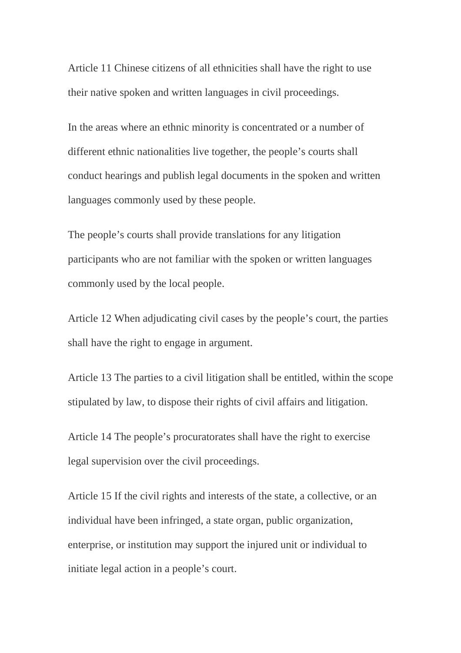Article 11 Chinese citizens of all ethnicities shall have the right to use their native spoken and written languages in civil proceedings.

In the areas where an ethnic minority is concentrated or a number of different ethnic nationalities live together, the people's courts shall conduct hearings and publish legal documents in the spoken and written languages commonly used by these people.

The people's courts shall provide translations for any litigation participants who are not familiar with the spoken or written languages commonly used by the local people.

Article 12 When adjudicating civil cases by the people's court, the parties shall have the right to engage in argument.

Article 13 The parties to a civil litigation shall be entitled, within the scope stipulated by law, to dispose their rights of civil affairs and litigation.

Article 14 The people's procuratorates shall have the right to exercise legal supervision over the civil proceedings.

Article 15 If the civil rights and interests of the state, a collective, or an individual have been infringed, a state organ, public organization, enterprise, or institution may support the injured unit or individual to initiate legal action in a people's court.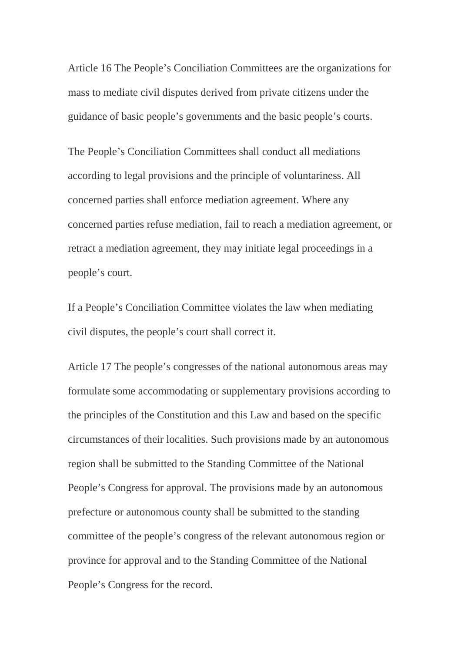Article 16 The People's Conciliation Committees are the organizations for mass to mediate civil disputes derived from private citizens under the guidance of basic people's governments and the basic people's courts.

The People's Conciliation Committees shall conduct all mediations according to legal provisions and the principle of voluntariness. All concerned parties shall enforce mediation agreement. Where any concerned parties refuse mediation, fail to reach a mediation agreement, or retract a mediation agreement, they may initiate legal proceedings in a people's court.

If a People's Conciliation Committee violates the law when mediating civil disputes, the people's court shall correct it.

Article 17 The people's congresses of the national autonomous areas may formulate some accommodating or supplementary provisions according to the principles of the Constitution and this Law and based on the specific circumstances of their localities. Such provisions made by an autonomous region shall be submitted to the Standing Committee of the National People's Congress for approval. The provisions made by an autonomous prefecture or autonomous county shall be submitted to the standing committee of the people's congress of the relevant autonomous region or province for approval and to the Standing Committee of the National People's Congress for the record.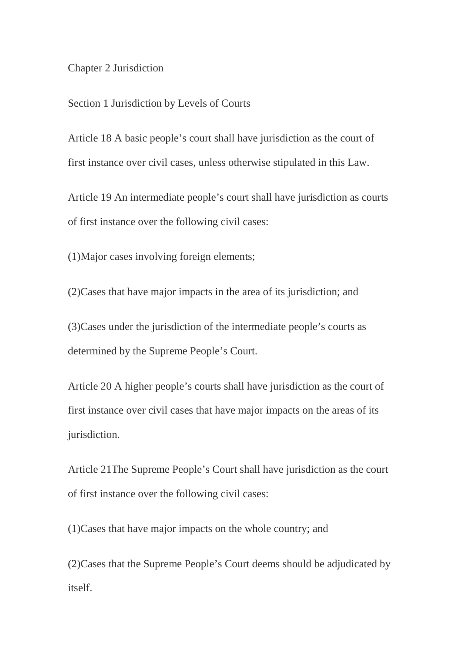## Chapter 2 Jurisdiction

Section 1 Jurisdiction by Levels of Courts

Article 18 A basic people's court shall have jurisdiction as the court of first instance over civil cases, unless otherwise stipulated in this Law.

Article 19 An intermediate people's court shall have jurisdiction as courts of first instance over the following civil cases:

(1)Major cases involving foreign elements;

(2)Cases that have major impacts in the area of its jurisdiction; and

(3)Cases under the jurisdiction of the intermediate people's courts as determined by the Supreme People's Court.

Article 20 A higher people's courts shall have jurisdiction as the court of first instance over civil cases that have major impacts on the areas of its jurisdiction.

Article 21The Supreme People's Court shall have jurisdiction as the court of first instance over the following civil cases:

(1)Cases that have major impacts on the whole country; and

(2)Cases that the Supreme People's Court deems should be adjudicated by itself.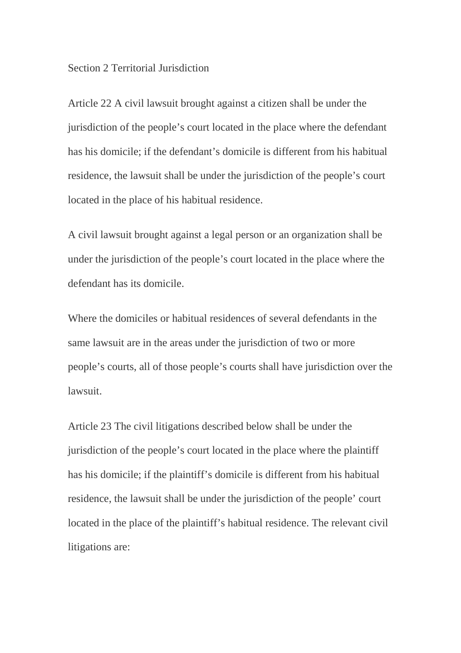## Section 2 Territorial Jurisdiction

Article 22 A civil lawsuit brought against a citizen shall be under the jurisdiction of the people's court located in the place where the defendant has his domicile; if the defendant's domicile is different from his habitual residence, the lawsuit shall be under the jurisdiction of the people's court located in the place of his habitual residence.

A civil lawsuit brought against a legal person or an organization shall be under the jurisdiction of the people's court located in the place where the defendant has its domicile.

Where the domiciles or habitual residences of several defendants in the same lawsuit are in the areas under the jurisdiction of two or more people's courts, all of those people's courts shall have jurisdiction over the lawsuit.

Article 23 The civil litigations described below shall be under the jurisdiction of the people's court located in the place where the plaintiff has his domicile; if the plaintiff's domicile is different from his habitual residence, the lawsuit shall be under the jurisdiction of the people' court located in the place of the plaintiff's habitual residence. The relevant civil litigations are: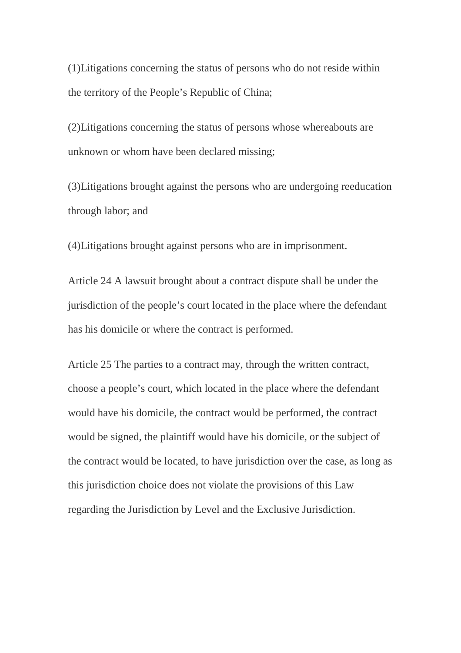(1)Litigations concerning the status of persons who do not reside within the territory of the People's Republic of China;

(2)Litigations concerning the status of persons whose whereabouts are unknown or whom have been declared missing;

(3)Litigations brought against the persons who are undergoing reeducation through labor; and

(4)Litigations brought against persons who are in imprisonment.

Article 24 A lawsuit brought about a contract dispute shall be under the jurisdiction of the people's court located in the place where the defendant has his domicile or where the contract is performed.

Article 25 The parties to a contract may, through the written contract, choose a people's court, which located in the place where the defendant would have his domicile, the contract would be performed, the contract would be signed, the plaintiff would have his domicile, or the subject of the contract would be located, to have jurisdiction over the case, as long as this jurisdiction choice does not violate the provisions of this Law regarding the Jurisdiction by Level and the Exclusive Jurisdiction.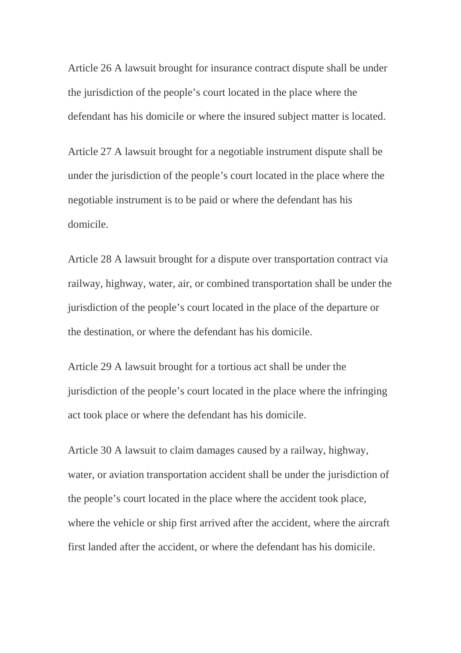Article 26 A lawsuit brought for insurance contract dispute shall be under the jurisdiction of the people's court located in the place where the defendant has his domicile or where the insured subject matter is located.

Article 27 A lawsuit brought for a negotiable instrument dispute shall be under the jurisdiction of the people's court located in the place where the negotiable instrument is to be paid or where the defendant has his domicile.

Article 28 A lawsuit brought for a dispute over transportation contract via railway, highway, water, air, or combined transportation shall be under the jurisdiction of the people's court located in the place of the departure or the destination, or where the defendant has his domicile.

Article 29 A lawsuit brought for a tortious act shall be under the jurisdiction of the people's court located in the place where the infringing act took place or where the defendant has his domicile.

Article 30 A lawsuit to claim damages caused by a railway, highway, water, or aviation transportation accident shall be under the jurisdiction of the people's court located in the place where the accident took place, where the vehicle or ship first arrived after the accident, where the aircraft first landed after the accident, or where the defendant has his domicile.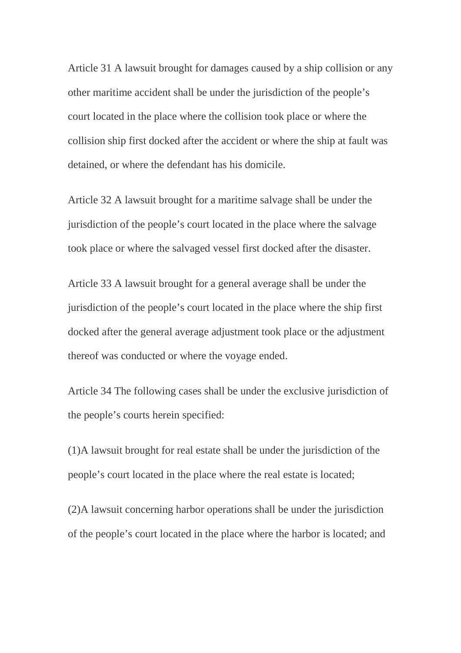Article 31 A lawsuit brought for damages caused by a ship collision or any other maritime accident shall be under the jurisdiction of the people's court located in the place where the collision took place or where the collision ship first docked after the accident or where the ship at fault was detained, or where the defendant has his domicile.

Article 32 A lawsuit brought for a maritime salvage shall be under the jurisdiction of the people's court located in the place where the salvage took place or where the salvaged vessel first docked after the disaster.

Article 33 A lawsuit brought for a general average shall be under the jurisdiction of the people's court located in the place where the ship first docked after the general average adjustment took place or the adjustment thereof was conducted or where the voyage ended.

Article 34 The following cases shall be under the exclusive jurisdiction of the people's courts herein specified:

(1)A lawsuit brought for real estate shall be under the jurisdiction of the people's court located in the place where the real estate is located;

(2)A lawsuit concerning harbor operations shall be under the jurisdiction of the people's court located in the place where the harbor is located; and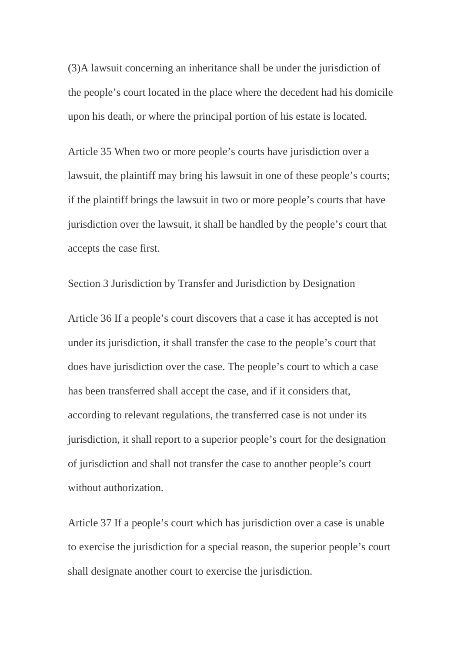(3)A lawsuit concerning an inheritance shall be under the jurisdiction of the people's court located in the place where the decedent had his domicile upon his death, or where the principal portion of his estate is located.

Article 35 When two or more people's courts have jurisdiction over a lawsuit, the plaintiff may bring his lawsuit in one of these people's courts; if the plaintiff brings the lawsuit in two or more people's courts that have jurisdiction over the lawsuit, it shall be handled by the people's court that accepts the case first.

Section 3 Jurisdiction by Transfer and Jurisdiction by Designation

Article 36 If a people's court discovers that a case it has accepted is not under its jurisdiction, it shall transfer the case to the people's court that does have jurisdiction over the case. The people's court to which a case has been transferred shall accept the case, and if it considers that, according to relevant regulations, the transferred case is not under its jurisdiction, it shall report to a superior people's court for the designation of jurisdiction and shall not transfer the case to another people's court without authorization.

Article 37 If a people's court which has jurisdiction over a case is unable to exercise the jurisdiction for a special reason, the superior people's court shall designate another court to exercise the jurisdiction.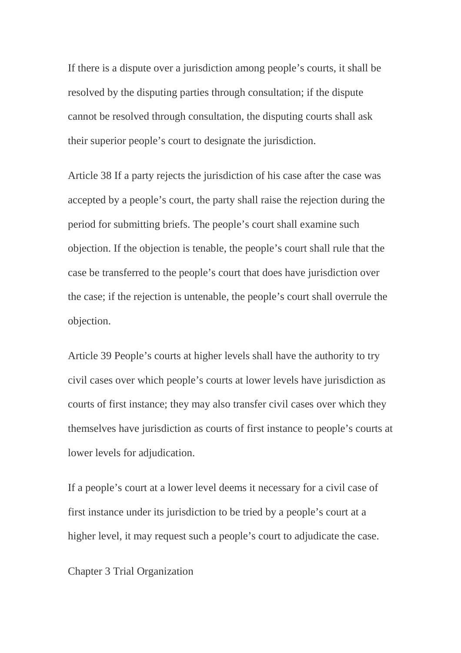If there is a dispute over a jurisdiction among people's courts, it shall be resolved by the disputing parties through consultation; if the dispute cannot be resolved through consultation, the disputing courts shall ask their superior people's court to designate the jurisdiction.

Article 38 If a party rejects the jurisdiction of his case after the case was accepted by a people's court, the party shall raise the rejection during the period for submitting briefs. The people's court shall examine such objection. If the objection is tenable, the people's court shall rule that the case be transferred to the people's court that does have jurisdiction over the case; if the rejection is untenable, the people's court shall overrule the objection.

Article 39 People's courts at higher levels shall have the authority to try civil cases over which people's courts at lower levels have jurisdiction as courts of first instance; they may also transfer civil cases over which they themselves have jurisdiction as courts of first instance to people's courts at lower levels for adjudication.

If a people's court at a lower level deems it necessary for a civil case of first instance under its jurisdiction to be tried by a people's court at a higher level, it may request such a people's court to adjudicate the case.

Chapter 3 Trial Organization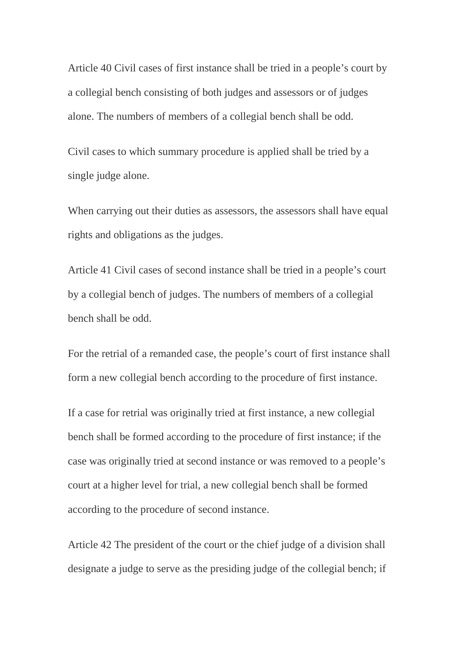Article 40 Civil cases of first instance shall be tried in a people's court by a collegial bench consisting of both judges and assessors or of judges alone. The numbers of members of a collegial bench shall be odd.

Civil cases to which summary procedure is applied shall be tried by a single judge alone.

When carrying out their duties as assessors, the assessors shall have equal rights and obligations as the judges.

Article 41 Civil cases of second instance shall be tried in a people's court by a collegial bench of judges. The numbers of members of a collegial bench shall be odd.

For the retrial of a remanded case, the people's court of first instance shall form a new collegial bench according to the procedure of first instance.

If a case for retrial was originally tried at first instance, a new collegial bench shall be formed according to the procedure of first instance; if the case was originally tried at second instance or was removed to a people's court at a higher level for trial, a new collegial bench shall be formed according to the procedure of second instance.

Article 42 The president of the court or the chief judge of a division shall designate a judge to serve as the presiding judge of the collegial bench; if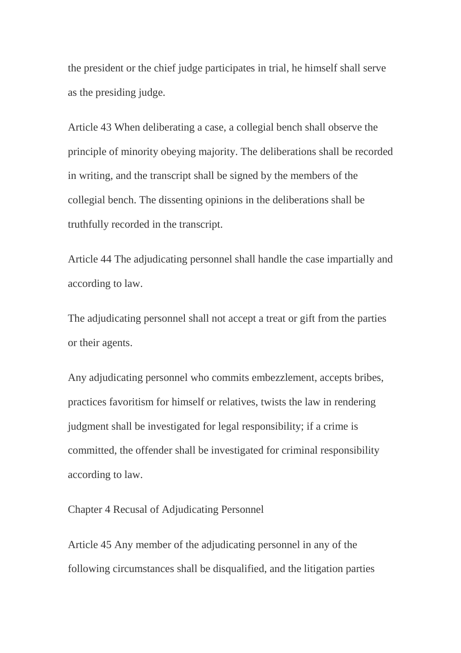the president or the chief judge participates in trial, he himself shall serve as the presiding judge.

Article 43 When deliberating a case, a collegial bench shall observe the principle of minority obeying majority. The deliberations shall be recorded in writing, and the transcript shall be signed by the members of the collegial bench. The dissenting opinions in the deliberations shall be truthfully recorded in the transcript.

Article 44 The adjudicating personnel shall handle the case impartially and according to law.

The adjudicating personnel shall not accept a treat or gift from the parties or their agents.

Any adjudicating personnel who commits embezzlement, accepts bribes, practices favoritism for himself or relatives, twists the law in rendering judgment shall be investigated for legal responsibility; if a crime is committed, the offender shall be investigated for criminal responsibility according to law.

Chapter 4 Recusal of Adjudicating Personnel

Article 45 Any member of the adjudicating personnel in any of the following circumstances shall be disqualified, and the litigation parties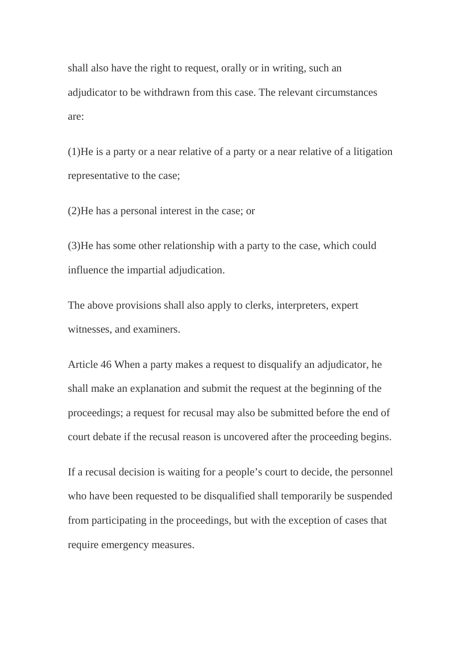shall also have the right to request, orally or in writing, such an adjudicator to be withdrawn from this case. The relevant circumstances are:

(1)He is a party or a near relative of a party or a near relative of a litigation representative to the case;

(2)He has a personal interest in the case; or

(3)He has some other relationship with a party to the case, which could influence the impartial adjudication.

The above provisions shall also apply to clerks, interpreters, expert witnesses, and examiners.

Article 46 When a party makes a request to disqualify an adjudicator, he shall make an explanation and submit the request at the beginning of the proceedings; a request for recusal may also be submitted before the end of court debate if the recusal reason is uncovered after the proceeding begins.

If a recusal decision is waiting for a people's court to decide, the personnel who have been requested to be disqualified shall temporarily be suspended from participating in the proceedings, but with the exception of cases that require emergency measures.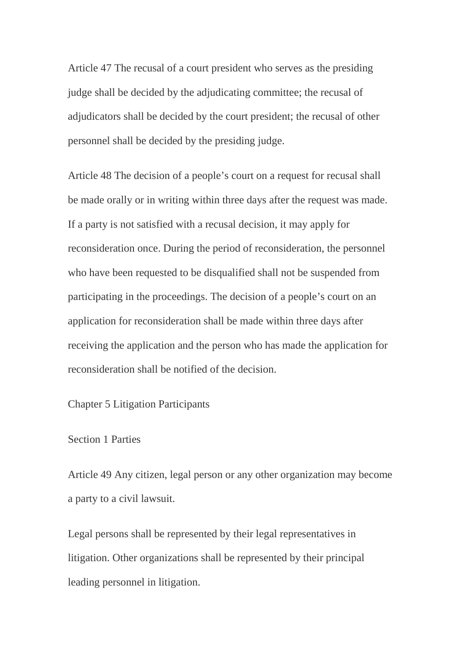Article 47 The recusal of a court president who serves as the presiding judge shall be decided by the adjudicating committee; the recusal of adjudicators shall be decided by the court president; the recusal of other personnel shall be decided by the presiding judge.

Article 48 The decision of a people's court on a request for recusal shall be made orally or in writing within three days after the request was made. If a party is not satisfied with a recusal decision, it may apply for reconsideration once. During the period of reconsideration, the personnel who have been requested to be disqualified shall not be suspended from participating in the proceedings. The decision of a people's court on an application for reconsideration shall be made within three days after receiving the application and the person who has made the application for reconsideration shall be notified of the decision.

Chapter 5 Litigation Participants

## Section 1 Parties

Article 49 Any citizen, legal person or any other organization may become a party to a civil lawsuit.

Legal persons shall be represented by their legal representatives in litigation. Other organizations shall be represented by their principal leading personnel in litigation.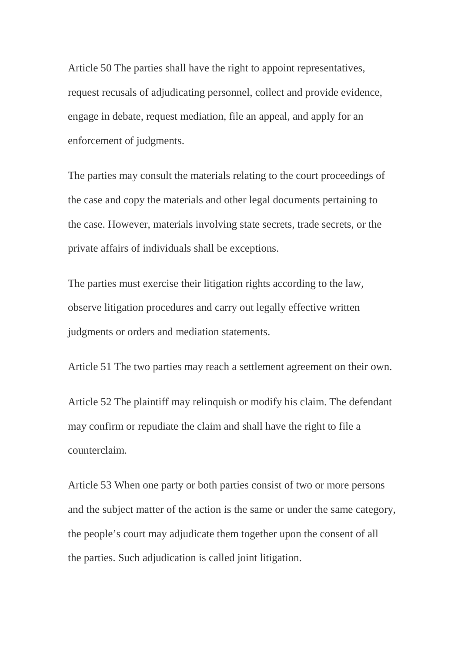Article 50 The parties shall have the right to appoint representatives, request recusals of adjudicating personnel, collect and provide evidence, engage in debate, request mediation, file an appeal, and apply for an enforcement of judgments.

The parties may consult the materials relating to the court proceedings of the case and copy the materials and other legal documents pertaining to the case. However, materials involving state secrets, trade secrets, or the private affairs of individuals shall be exceptions.

The parties must exercise their litigation rights according to the law, observe litigation procedures and carry out legally effective written judgments or orders and mediation statements.

Article 51 The two parties may reach a settlement agreement on their own.

Article 52 The plaintiff may relinquish or modify his claim. The defendant may confirm or repudiate the claim and shall have the right to file a counterclaim.

Article 53 When one party or both parties consist of two or more persons and the subject matter of the action is the same or under the same category, the people's court may adjudicate them together upon the consent of all the parties. Such adjudication is called joint litigation.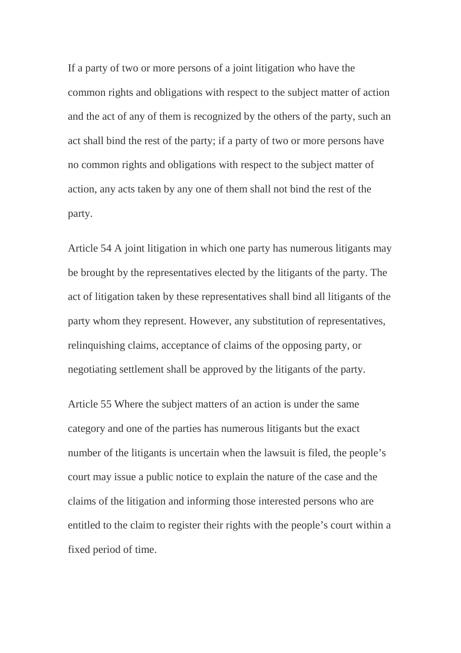If a party of two or more persons of a joint litigation who have the common rights and obligations with respect to the subject matter of action and the act of any of them is recognized by the others of the party, such an act shall bind the rest of the party; if a party of two or more persons have no common rights and obligations with respect to the subject matter of action, any acts taken by any one of them shall not bind the rest of the party.

Article 54 A joint litigation in which one party has numerous litigants may be brought by the representatives elected by the litigants of the party. The act of litigation taken by these representatives shall bind all litigants of the party whom they represent. However, any substitution of representatives, relinquishing claims, acceptance of claims of the opposing party, or negotiating settlement shall be approved by the litigants of the party.

Article 55 Where the subject matters of an action is under the same category and one of the parties has numerous litigants but the exact number of the litigants is uncertain when the lawsuit is filed, the people's court may issue a public notice to explain the nature of the case and the claims of the litigation and informing those interested persons who are entitled to the claim to register their rights with the people's court within a fixed period of time.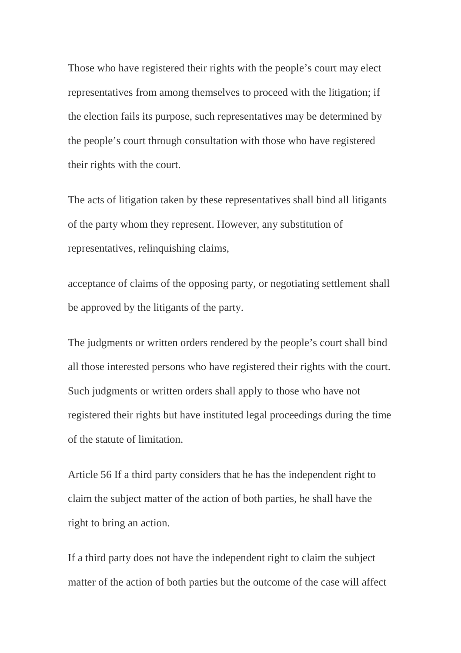Those who have registered their rights with the people's court may elect representatives from among themselves to proceed with the litigation; if the election fails its purpose, such representatives may be determined by the people's court through consultation with those who have registered their rights with the court.

The acts of litigation taken by these representatives shall bind all litigants of the party whom they represent. However, any substitution of representatives, relinquishing claims,

acceptance of claims of the opposing party, or negotiating settlement shall be approved by the litigants of the party.

The judgments or written orders rendered by the people's court shall bind all those interested persons who have registered their rights with the court. Such judgments or written orders shall apply to those who have not registered their rights but have instituted legal proceedings during the time of the statute of limitation.

Article 56 If a third party considers that he has the independent right to claim the subject matter of the action of both parties, he shall have the right to bring an action.

If a third party does not have the independent right to claim the subject matter of the action of both parties but the outcome of the case will affect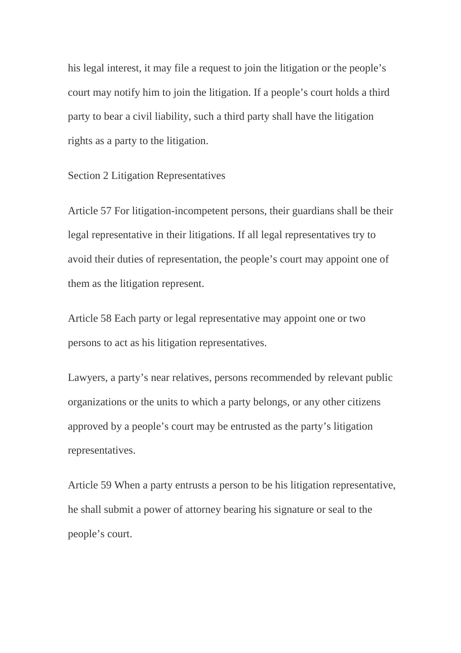his legal interest, it may file a request to join the litigation or the people's court may notify him to join the litigation. If a people's court holds a third party to bear a civil liability, such a third party shall have the litigation rights as a party to the litigation.

Section 2 Litigation Representatives

Article 57 For litigation-incompetent persons, their guardians shall be their legal representative in their litigations. If all legal representatives try to avoid their duties of representation, the people's court may appoint one of them as the litigation represent.

Article 58 Each party or legal representative may appoint one or two persons to act as his litigation representatives.

Lawyers, a party's near relatives, persons recommended by relevant public organizations or the units to which a party belongs, or any other citizens approved by a people's court may be entrusted as the party's litigation representatives.

Article 59 When a party entrusts a person to be his litigation representative, he shall submit a power of attorney bearing his signature or seal to the people's court.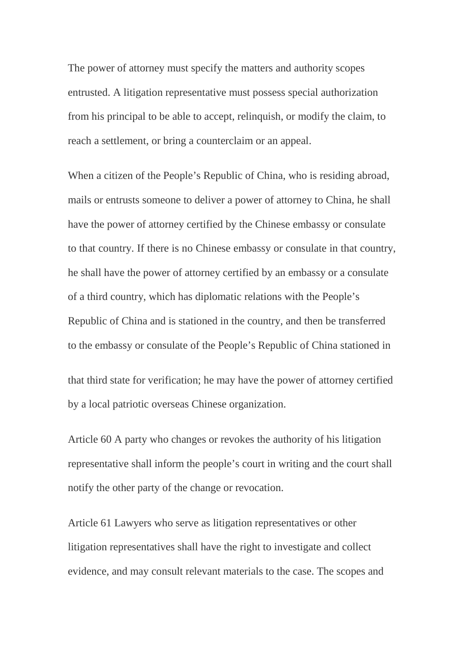The power of attorney must specify the matters and authority scopes entrusted. A litigation representative must possess special authorization from his principal to be able to accept, relinquish, or modify the claim, to reach a settlement, or bring a counterclaim or an appeal.

When a citizen of the People's Republic of China, who is residing abroad, mails or entrusts someone to deliver a power of attorney to China, he shall have the power of attorney certified by the Chinese embassy or consulate to that country. If there is no Chinese embassy or consulate in that country, he shall have the power of attorney certified by an embassy or a consulate of a third country, which has diplomatic relations with the People's Republic of China and is stationed in the country, and then be transferred to the embassy or consulate of the People's Republic of China stationed in

that third state for verification; he may have the power of attorney certified by a local patriotic overseas Chinese organization.

Article 60 A party who changes or revokes the authority of his litigation representative shall inform the people's court in writing and the court shall notify the other party of the change or revocation.

Article 61 Lawyers who serve as litigation representatives or other litigation representatives shall have the right to investigate and collect evidence, and may consult relevant materials to the case. The scopes and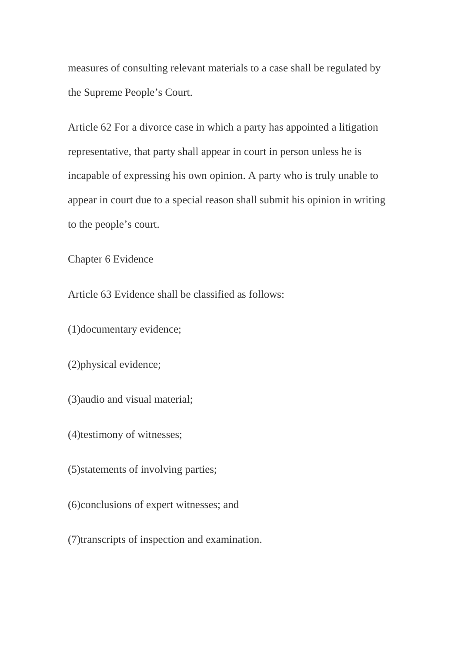measures of consulting relevant materials to a case shall be regulated by the Supreme People's Court.

Article 62 For a divorce case in which a party has appointed a litigation representative, that party shall appear in court in person unless he is incapable of expressing his own opinion. A party who is truly unable to appear in court due to a special reason shall submit his opinion in writing to the people's court.

Chapter 6 Evidence

Article 63 Evidence shall be classified as follows:

(1)documentary evidence;

(2)physical evidence;

(3)audio and visual material;

(4)testimony of witnesses;

(5)statements of involving parties;

(6)conclusions of expert witnesses; and

(7)transcripts of inspection and examination.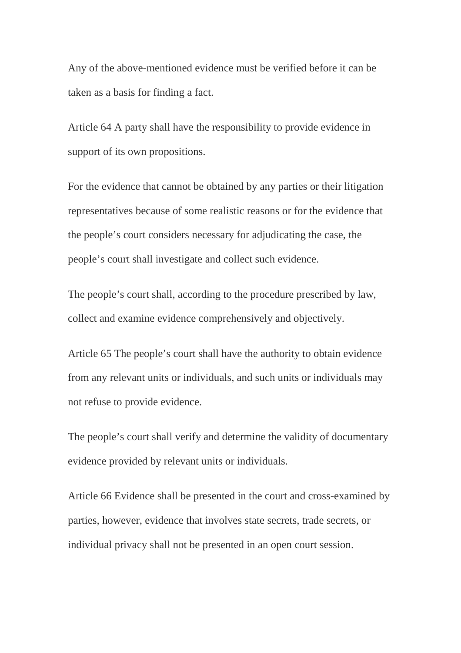Any of the above-mentioned evidence must be verified before it can be taken as a basis for finding a fact.

Article 64 A party shall have the responsibility to provide evidence in support of its own propositions.

For the evidence that cannot be obtained by any parties or their litigation representatives because of some realistic reasons or for the evidence that the people's court considers necessary for adjudicating the case, the people's court shall investigate and collect such evidence.

The people's court shall, according to the procedure prescribed by law, collect and examine evidence comprehensively and objectively.

Article 65 The people's court shall have the authority to obtain evidence from any relevant units or individuals, and such units or individuals may not refuse to provide evidence.

The people's court shall verify and determine the validity of documentary evidence provided by relevant units or individuals.

Article 66 Evidence shall be presented in the court and cross-examined by parties, however, evidence that involves state secrets, trade secrets, or individual privacy shall not be presented in an open court session.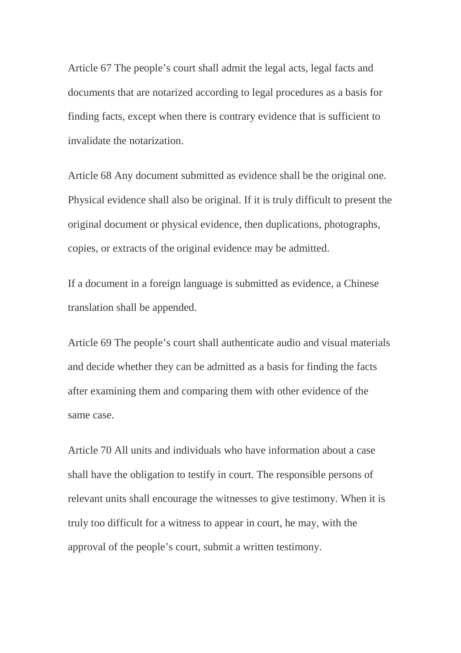Article 67 The people's court shall admit the legal acts, legal facts and documents that are notarized according to legal procedures as a basis for finding facts, except when there is contrary evidence that is sufficient to invalidate the notarization.

Article 68 Any document submitted as evidence shall be the original one. Physical evidence shall also be original. If it is truly difficult to present the original document or physical evidence, then duplications, photographs, copies, or extracts of the original evidence may be admitted.

If a document in a foreign language is submitted as evidence, a Chinese translation shall be appended.

Article 69 The people's court shall authenticate audio and visual materials and decide whether they can be admitted as a basis for finding the facts after examining them and comparing them with other evidence of the same case.

Article 70 All units and individuals who have information about a case shall have the obligation to testify in court. The responsible persons of relevant units shall encourage the witnesses to give testimony. When it is truly too difficult for a witness to appear in court, he may, with the approval of the people's court, submit a written testimony.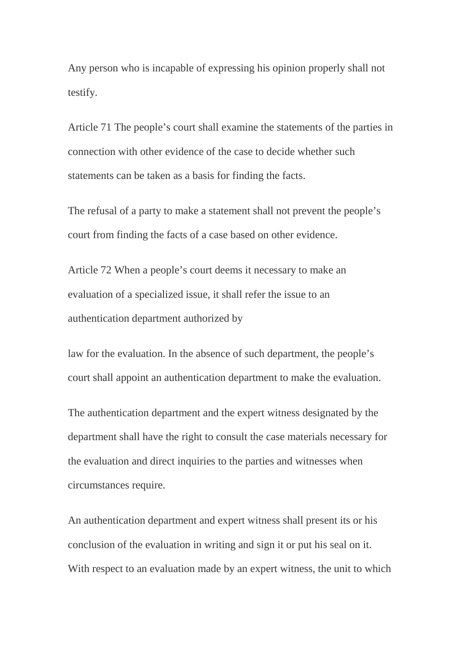Any person who is incapable of expressing his opinion properly shall not testify.

Article 71 The people's court shall examine the statements of the parties in connection with other evidence of the case to decide whether such statements can be taken as a basis for finding the facts.

The refusal of a party to make a statement shall not prevent the people's court from finding the facts of a case based on other evidence.

Article 72 When a people's court deems it necessary to make an evaluation of a specialized issue, it shall refer the issue to an authentication department authorized by

law for the evaluation. In the absence of such department, the people's court shall appoint an authentication department to make the evaluation.

The authentication department and the expert witness designated by the department shall have the right to consult the case materials necessary for the evaluation and direct inquiries to the parties and witnesses when circumstances require.

An authentication department and expert witness shall present its or his conclusion of the evaluation in writing and sign it or put his seal on it. With respect to an evaluation made by an expert witness, the unit to which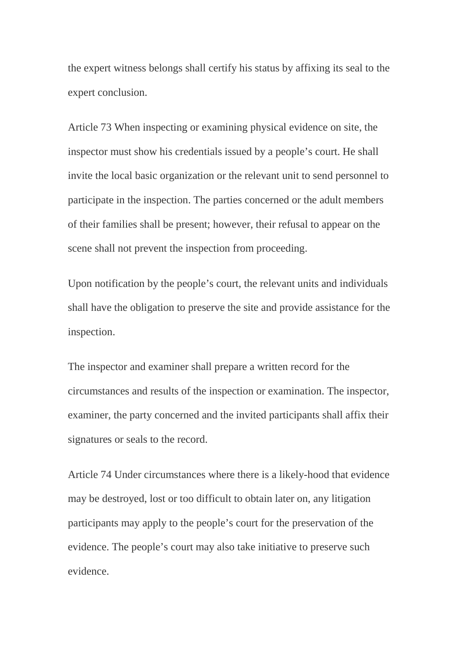the expert witness belongs shall certify his status by affixing its seal to the expert conclusion.

Article 73 When inspecting or examining physical evidence on site, the inspector must show his credentials issued by a people's court. He shall invite the local basic organization or the relevant unit to send personnel to participate in the inspection. The parties concerned or the adult members of their families shall be present; however, their refusal to appear on the scene shall not prevent the inspection from proceeding.

Upon notification by the people's court, the relevant units and individuals shall have the obligation to preserve the site and provide assistance for the inspection.

The inspector and examiner shall prepare a written record for the circumstances and results of the inspection or examination. The inspector, examiner, the party concerned and the invited participants shall affix their signatures or seals to the record.

Article 74 Under circumstances where there is a likely-hood that evidence may be destroyed, lost or too difficult to obtain later on, any litigation participants may apply to the people's court for the preservation of the evidence. The people's court may also take initiative to preserve such evidence.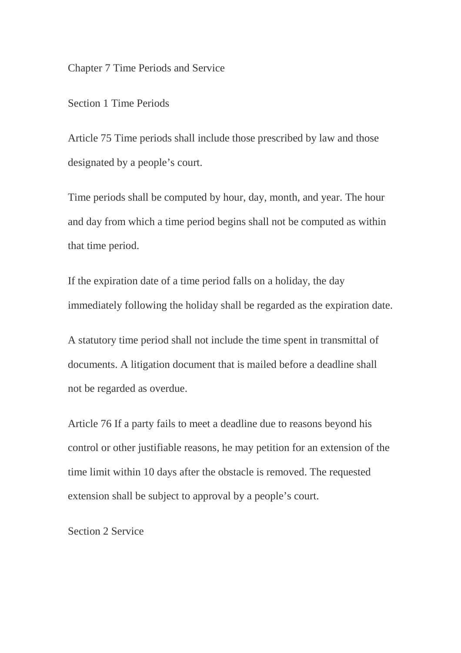Chapter 7 Time Periods and Service

Section 1 Time Periods

Article 75 Time periods shall include those prescribed by law and those designated by a people's court.

Time periods shall be computed by hour, day, month, and year. The hour and day from which a time period begins shall not be computed as within that time period.

If the expiration date of a time period falls on a holiday, the day immediately following the holiday shall be regarded as the expiration date.

A statutory time period shall not include the time spent in transmittal of documents. A litigation document that is mailed before a deadline shall not be regarded as overdue.

Article 76 If a party fails to meet a deadline due to reasons beyond his control or other justifiable reasons, he may petition for an extension of the time limit within 10 days after the obstacle is removed. The requested extension shall be subject to approval by a people's court.

Section 2 Service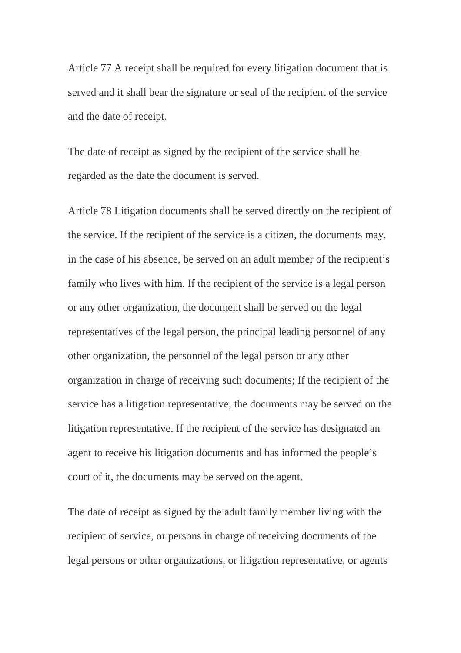Article 77 A receipt shall be required for every litigation document that is served and it shall bear the signature or seal of the recipient of the service and the date of receipt.

The date of receipt as signed by the recipient of the service shall be regarded as the date the document is served.

Article 78 Litigation documents shall be served directly on the recipient of the service. If the recipient of the service is a citizen, the documents may, in the case of his absence, be served on an adult member of the recipient's family who lives with him. If the recipient of the service is a legal person or any other organization, the document shall be served on the legal representatives of the legal person, the principal leading personnel of any other organization, the personnel of the legal person or any other organization in charge of receiving such documents; If the recipient of the service has a litigation representative, the documents may be served on the litigation representative. If the recipient of the service has designated an agent to receive his litigation documents and has informed the people's court of it, the documents may be served on the agent.

The date of receipt as signed by the adult family member living with the recipient of service, or persons in charge of receiving documents of the legal persons or other organizations, or litigation representative, or agents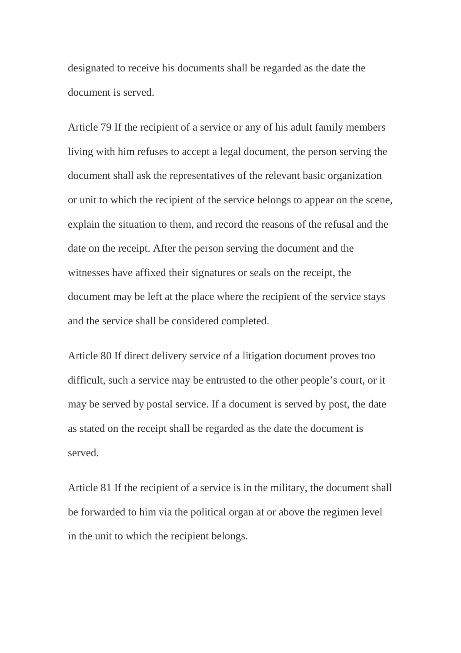designated to receive his documents shall be regarded as the date the document is served.

Article 79 If the recipient of a service or any of his adult family members living with him refuses to accept a legal document, the person serving the document shall ask the representatives of the relevant basic organization or unit to which the recipient of the service belongs to appear on the scene, explain the situation to them, and record the reasons of the refusal and the date on the receipt. After the person serving the document and the witnesses have affixed their signatures or seals on the receipt, the document may be left at the place where the recipient of the service stays and the service shall be considered completed.

Article 80 If direct delivery service of a litigation document proves too difficult, such a service may be entrusted to the other people's court, or it may be served by postal service. If a document is served by post, the date as stated on the receipt shall be regarded as the date the document is served.

Article 81 If the recipient of a service is in the military, the document shall be forwarded to him via the political organ at or above the regimen level in the unit to which the recipient belongs.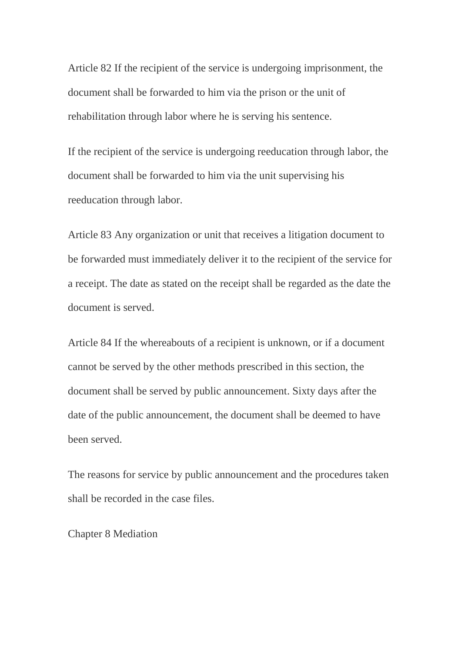Article 82 If the recipient of the service is undergoing imprisonment, the document shall be forwarded to him via the prison or the unit of rehabilitation through labor where he is serving his sentence.

If the recipient of the service is undergoing reeducation through labor, the document shall be forwarded to him via the unit supervising his reeducation through labor.

Article 83 Any organization or unit that receives a litigation document to be forwarded must immediately deliver it to the recipient of the service for a receipt. The date as stated on the receipt shall be regarded as the date the document is served.

Article 84 If the whereabouts of a recipient is unknown, or if a document cannot be served by the other methods prescribed in this section, the document shall be served by public announcement. Sixty days after the date of the public announcement, the document shall be deemed to have been served.

The reasons for service by public announcement and the procedures taken shall be recorded in the case files.

Chapter 8 Mediation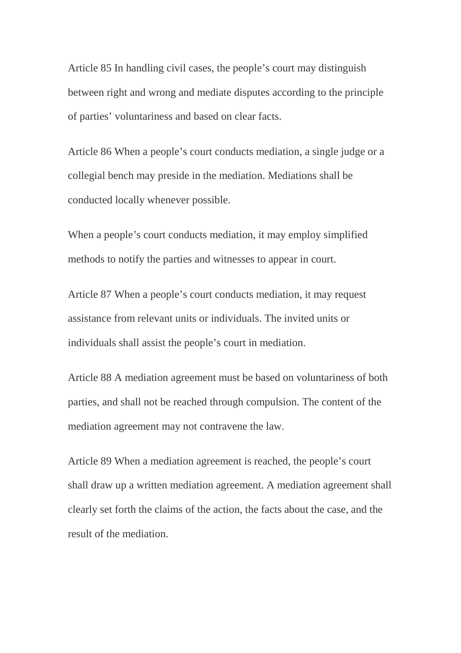Article 85 In handling civil cases, the people's court may distinguish between right and wrong and mediate disputes according to the principle of parties' voluntariness and based on clear facts.

Article 86 When a people's court conducts mediation, a single judge or a collegial bench may preside in the mediation. Mediations shall be conducted locally whenever possible.

When a people's court conducts mediation, it may employ simplified methods to notify the parties and witnesses to appear in court.

Article 87 When a people's court conducts mediation, it may request assistance from relevant units or individuals. The invited units or individuals shall assist the people's court in mediation.

Article 88 A mediation agreement must be based on voluntariness of both parties, and shall not be reached through compulsion. The content of the mediation agreement may not contravene the law.

Article 89 When a mediation agreement is reached, the people's court shall draw up a written mediation agreement. A mediation agreement shall clearly set forth the claims of the action, the facts about the case, and the result of the mediation.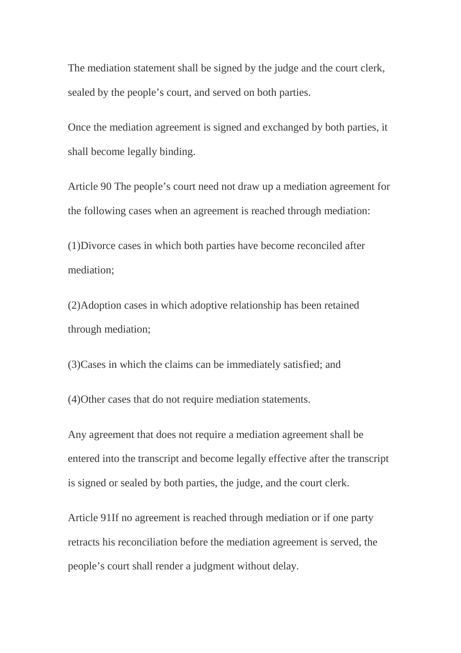The mediation statement shall be signed by the judge and the court clerk, sealed by the people's court, and served on both parties.

Once the mediation agreement is signed and exchanged by both parties, it shall become legally binding.

Article 90 The people's court need not draw up a mediation agreement for the following cases when an agreement is reached through mediation:

(1)Divorce cases in which both parties have become reconciled after mediation;

(2)Adoption cases in which adoptive relationship has been retained through mediation;

(3)Cases in which the claims can be immediately satisfied; and

(4)Other cases that do not require mediation statements.

Any agreement that does not require a mediation agreement shall be entered into the transcript and become legally effective after the transcript is signed or sealed by both parties, the judge, and the court clerk.

Article 91If no agreement is reached through mediation or if one party retracts his reconciliation before the mediation agreement is served, the people's court shall render a judgment without delay.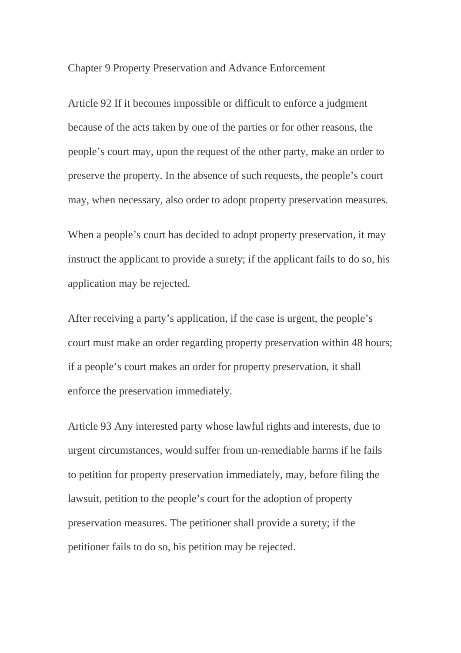Chapter 9 Property Preservation and Advance Enforcement

Article 92 If it becomes impossible or difficult to enforce a judgment because of the acts taken by one of the parties or for other reasons, the people's court may, upon the request of the other party, make an order to preserve the property. In the absence of such requests, the people's court may, when necessary, also order to adopt property preservation measures.

When a people's court has decided to adopt property preservation, it may instruct the applicant to provide a surety; if the applicant fails to do so, his application may be rejected.

After receiving a party's application, if the case is urgent, the people's court must make an order regarding property preservation within 48 hours; if a people's court makes an order for property preservation, it shall enforce the preservation immediately.

Article 93 Any interested party whose lawful rights and interests, due to urgent circumstances, would suffer from un-remediable harms if he fails to petition for property preservation immediately, may, before filing the lawsuit, petition to the people's court for the adoption of property preservation measures. The petitioner shall provide a surety; if the petitioner fails to do so, his petition may be rejected.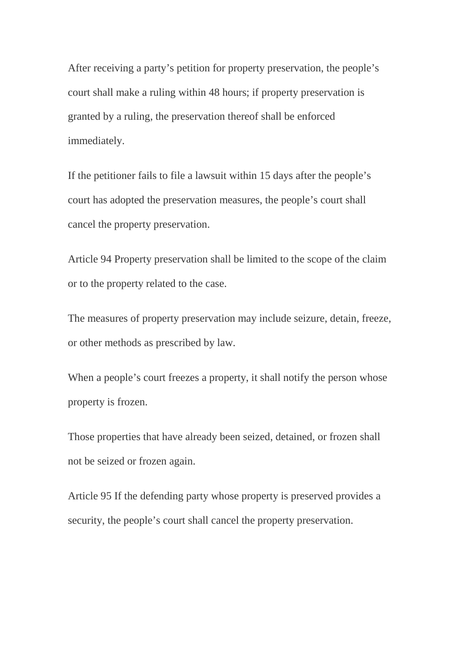After receiving a party's petition for property preservation, the people's court shall make a ruling within 48 hours; if property preservation is granted by a ruling, the preservation thereof shall be enforced immediately.

If the petitioner fails to file a lawsuit within 15 days after the people's court has adopted the preservation measures, the people's court shall cancel the property preservation.

Article 94 Property preservation shall be limited to the scope of the claim or to the property related to the case.

The measures of property preservation may include seizure, detain, freeze, or other methods as prescribed by law.

When a people's court freezes a property, it shall notify the person whose property is frozen.

Those properties that have already been seized, detained, or frozen shall not be seized or frozen again.

Article 95 If the defending party whose property is preserved provides a security, the people's court shall cancel the property preservation.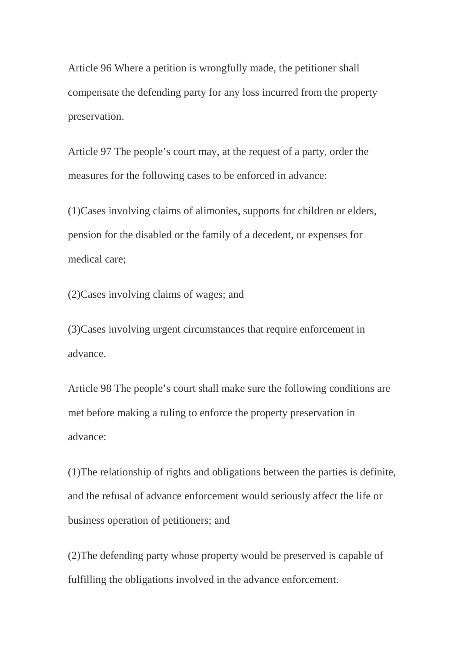Article 96 Where a petition is wrongfully made, the petitioner shall compensate the defending party for any loss incurred from the property preservation.

Article 97 The people's court may, at the request of a party, order the measures for the following cases to be enforced in advance:

(1)Cases involving claims of alimonies, supports for children or elders, pension for the disabled or the family of a decedent, or expenses for medical care;

(2)Cases involving claims of wages; and

(3)Cases involving urgent circumstances that require enforcement in advance.

Article 98 The people's court shall make sure the following conditions are met before making a ruling to enforce the property preservation in advance:

(1)The relationship of rights and obligations between the parties is definite, and the refusal of advance enforcement would seriously affect the life or business operation of petitioners; and

(2)The defending party whose property would be preserved is capable of fulfilling the obligations involved in the advance enforcement.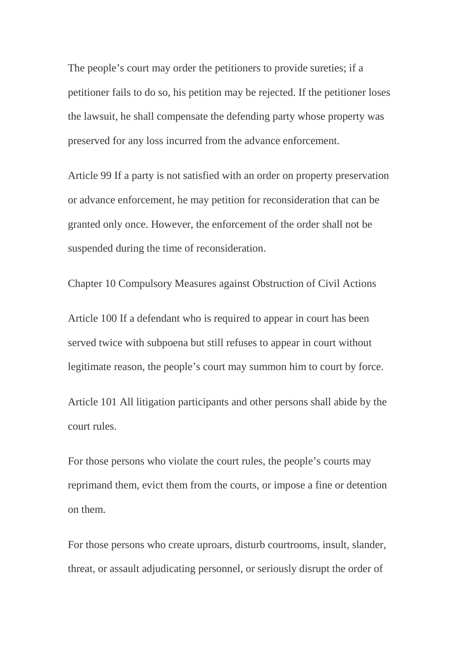The people's court may order the petitioners to provide sureties; if a petitioner fails to do so, his petition may be rejected. If the petitioner loses the lawsuit, he shall compensate the defending party whose property was preserved for any loss incurred from the advance enforcement.

Article 99 If a party is not satisfied with an order on property preservation or advance enforcement, he may petition for reconsideration that can be granted only once. However, the enforcement of the order shall not be suspended during the time of reconsideration.

Chapter 10 Compulsory Measures against Obstruction of Civil Actions

Article 100 If a defendant who is required to appear in court has been served twice with subpoena but still refuses to appear in court without legitimate reason, the people's court may summon him to court by force.

Article 101 All litigation participants and other persons shall abide by the court rules.

For those persons who violate the court rules, the people's courts may reprimand them, evict them from the courts, or impose a fine or detention on them.

For those persons who create uproars, disturb courtrooms, insult, slander, threat, or assault adjudicating personnel, or seriously disrupt the order of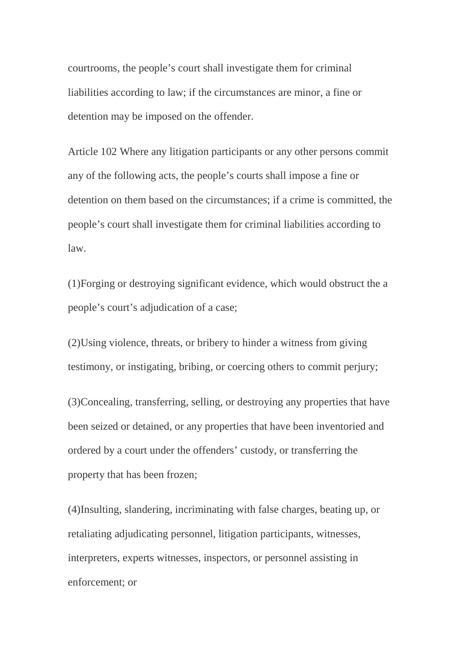courtrooms, the people's court shall investigate them for criminal liabilities according to law; if the circumstances are minor, a fine or detention may be imposed on the offender.

Article 102 Where any litigation participants or any other persons commit any of the following acts, the people's courts shall impose a fine or detention on them based on the circumstances; if a crime is committed, the people's court shall investigate them for criminal liabilities according to law.

(1)Forging or destroying significant evidence, which would obstruct the a people's court's adjudication of a case;

(2)Using violence, threats, or bribery to hinder a witness from giving testimony, or instigating, bribing, or coercing others to commit perjury;

(3)Concealing, transferring, selling, or destroying any properties that have been seized or detained, or any properties that have been inventoried and ordered by a court under the offenders' custody, or transferring the property that has been frozen;

(4)Insulting, slandering, incriminating with false charges, beating up, or retaliating adjudicating personnel, litigation participants, witnesses, interpreters, experts witnesses, inspectors, or personnel assisting in enforcement; or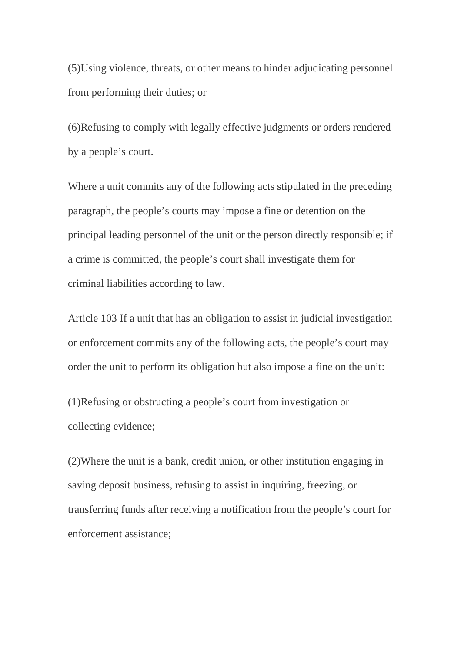(5)Using violence, threats, or other means to hinder adjudicating personnel from performing their duties; or

(6)Refusing to comply with legally effective judgments or orders rendered by a people's court.

Where a unit commits any of the following acts stipulated in the preceding paragraph, the people's courts may impose a fine or detention on the principal leading personnel of the unit or the person directly responsible; if a crime is committed, the people's court shall investigate them for criminal liabilities according to law.

Article 103 If a unit that has an obligation to assist in judicial investigation or enforcement commits any of the following acts, the people's court may order the unit to perform its obligation but also impose a fine on the unit:

(1)Refusing or obstructing a people's court from investigation or collecting evidence;

(2)Where the unit is a bank, credit union, or other institution engaging in saving deposit business, refusing to assist in inquiring, freezing, or transferring funds after receiving a notification from the people's court for enforcement assistance;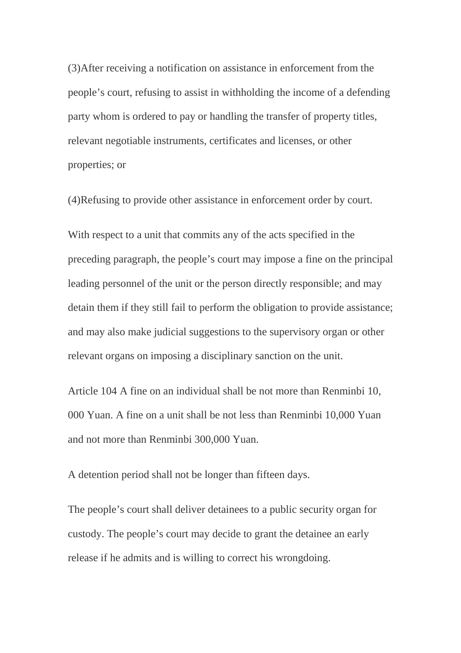(3)After receiving a notification on assistance in enforcement from the people's court, refusing to assist in withholding the income of a defending party whom is ordered to pay or handling the transfer of property titles, relevant negotiable instruments, certificates and licenses, or other properties; or

(4)Refusing to provide other assistance in enforcement order by court.

With respect to a unit that commits any of the acts specified in the preceding paragraph, the people's court may impose a fine on the principal leading personnel of the unit or the person directly responsible; and may detain them if they still fail to perform the obligation to provide assistance; and may also make judicial suggestions to the supervisory organ or other relevant organs on imposing a disciplinary sanction on the unit.

Article 104 A fine on an individual shall be not more than Renminbi 10, 000 Yuan. A fine on a unit shall be not less than Renminbi 10,000 Yuan and not more than Renminbi 300,000 Yuan.

A detention period shall not be longer than fifteen days.

The people's court shall deliver detainees to a public security organ for custody. The people's court may decide to grant the detainee an early release if he admits and is willing to correct his wrongdoing.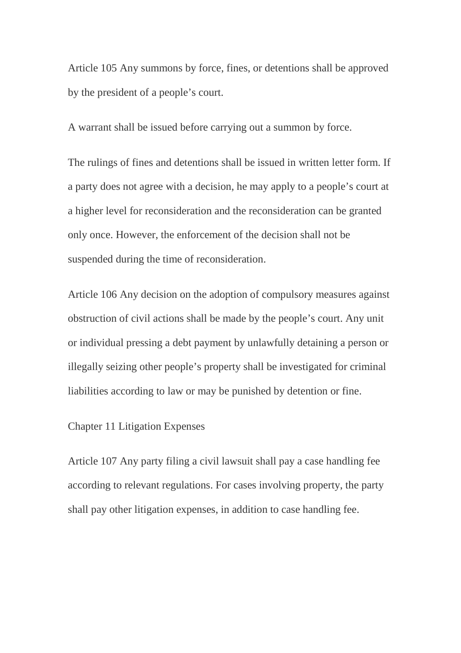Article 105 Any summons by force, fines, or detentions shall be approved by the president of a people's court.

A warrant shall be issued before carrying out a summon by force.

The rulings of fines and detentions shall be issued in written letter form. If a party does not agree with a decision, he may apply to a people's court at a higher level for reconsideration and the reconsideration can be granted only once. However, the enforcement of the decision shall not be suspended during the time of reconsideration.

Article 106 Any decision on the adoption of compulsory measures against obstruction of civil actions shall be made by the people's court. Any unit or individual pressing a debt payment by unlawfully detaining a person or illegally seizing other people's property shall be investigated for criminal liabilities according to law or may be punished by detention or fine.

# Chapter 11 Litigation Expenses

Article 107 Any party filing a civil lawsuit shall pay a case handling fee according to relevant regulations. For cases involving property, the party shall pay other litigation expenses, in addition to case handling fee.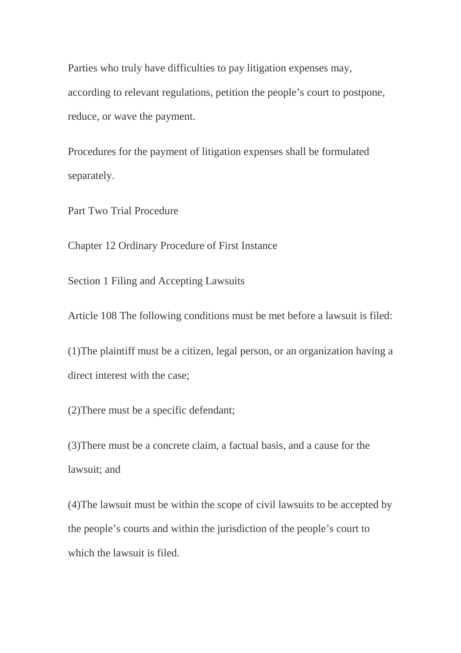Parties who truly have difficulties to pay litigation expenses may, according to relevant regulations, petition the people's court to postpone, reduce, or wave the payment.

Procedures for the payment of litigation expenses shall be formulated separately.

Part Two Trial Procedure

Chapter 12 Ordinary Procedure of First Instance

Section 1 Filing and Accepting Lawsuits

Article 108 The following conditions must be met before a lawsuit is filed:

(1)The plaintiff must be a citizen, legal person, or an organization having a direct interest with the case;

(2)There must be a specific defendant;

(3)There must be a concrete claim, a factual basis, and a cause for the lawsuit; and

(4)The lawsuit must be within the scope of civil lawsuits to be accepted by the people's courts and within the jurisdiction of the people's court to which the lawsuit is filed.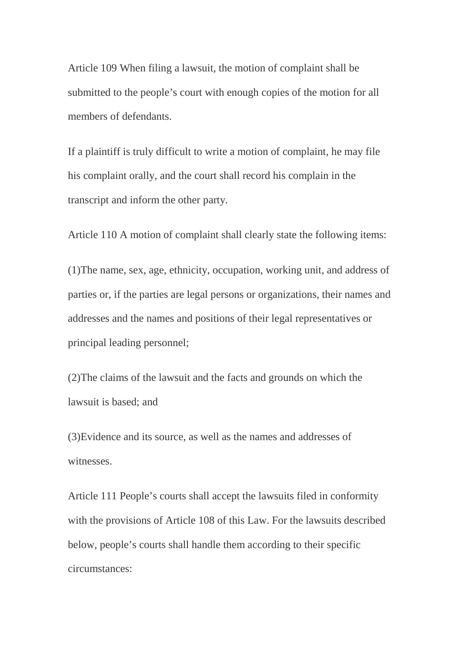Article 109 When filing a lawsuit, the motion of complaint shall be submitted to the people's court with enough copies of the motion for all members of defendants.

If a plaintiff is truly difficult to write a motion of complaint, he may file his complaint orally, and the court shall record his complain in the transcript and inform the other party.

Article 110 A motion of complaint shall clearly state the following items:

(1)The name, sex, age, ethnicity, occupation, working unit, and address of parties or, if the parties are legal persons or organizations, their names and addresses and the names and positions of their legal representatives or principal leading personnel;

(2)The claims of the lawsuit and the facts and grounds on which the lawsuit is based; and

(3)Evidence and its source, as well as the names and addresses of witnesses.

Article 111 People's courts shall accept the lawsuits filed in conformity with the provisions of Article 108 of this Law. For the lawsuits described below, people's courts shall handle them according to their specific circumstances: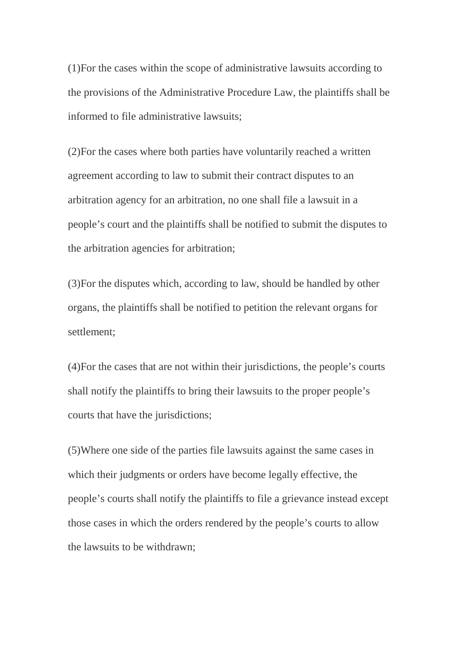(1)For the cases within the scope of administrative lawsuits according to the provisions of the Administrative Procedure Law, the plaintiffs shall be informed to file administrative lawsuits;

(2)For the cases where both parties have voluntarily reached a written agreement according to law to submit their contract disputes to an arbitration agency for an arbitration, no one shall file a lawsuit in a people's court and the plaintiffs shall be notified to submit the disputes to the arbitration agencies for arbitration;

(3)For the disputes which, according to law, should be handled by other organs, the plaintiffs shall be notified to petition the relevant organs for settlement;

(4)For the cases that are not within their jurisdictions, the people's courts shall notify the plaintiffs to bring their lawsuits to the proper people's courts that have the jurisdictions;

(5)Where one side of the parties file lawsuits against the same cases in which their judgments or orders have become legally effective, the people's courts shall notify the plaintiffs to file a grievance instead except those cases in which the orders rendered by the people's courts to allow the lawsuits to be withdrawn;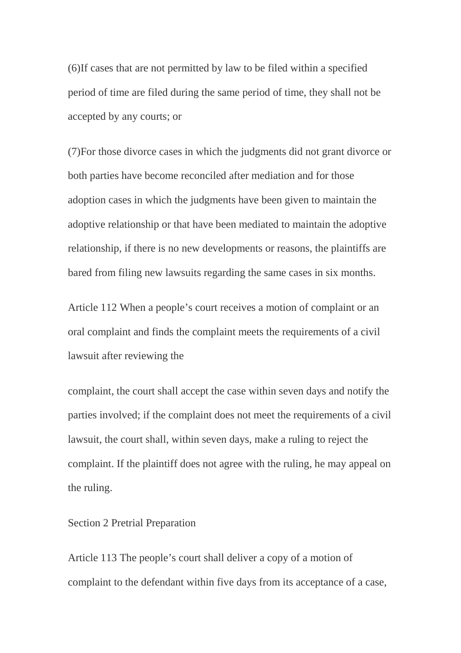(6)If cases that are not permitted by law to be filed within a specified period of time are filed during the same period of time, they shall not be accepted by any courts; or

(7)For those divorce cases in which the judgments did not grant divorce or both parties have become reconciled after mediation and for those adoption cases in which the judgments have been given to maintain the adoptive relationship or that have been mediated to maintain the adoptive relationship, if there is no new developments or reasons, the plaintiffs are bared from filing new lawsuits regarding the same cases in six months.

Article 112 When a people's court receives a motion of complaint or an oral complaint and finds the complaint meets the requirements of a civil lawsuit after reviewing the

complaint, the court shall accept the case within seven days and notify the parties involved; if the complaint does not meet the requirements of a civil lawsuit, the court shall, within seven days, make a ruling to reject the complaint. If the plaintiff does not agree with the ruling, he may appeal on the ruling.

### Section 2 Pretrial Preparation

Article 113 The people's court shall deliver a copy of a motion of complaint to the defendant within five days from its acceptance of a case,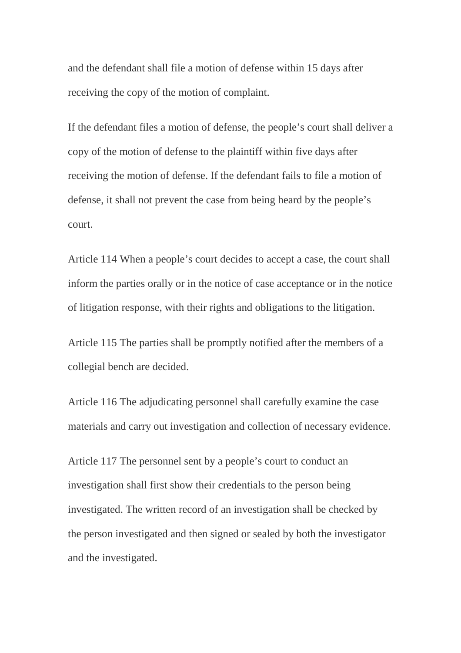and the defendant shall file a motion of defense within 15 days after receiving the copy of the motion of complaint.

If the defendant files a motion of defense, the people's court shall deliver a copy of the motion of defense to the plaintiff within five days after receiving the motion of defense. If the defendant fails to file a motion of defense, it shall not prevent the case from being heard by the people's court.

Article 114 When a people's court decides to accept a case, the court shall inform the parties orally or in the notice of case acceptance or in the notice of litigation response, with their rights and obligations to the litigation.

Article 115 The parties shall be promptly notified after the members of a collegial bench are decided.

Article 116 The adjudicating personnel shall carefully examine the case materials and carry out investigation and collection of necessary evidence.

Article 117 The personnel sent by a people's court to conduct an investigation shall first show their credentials to the person being investigated. The written record of an investigation shall be checked by the person investigated and then signed or sealed by both the investigator and the investigated.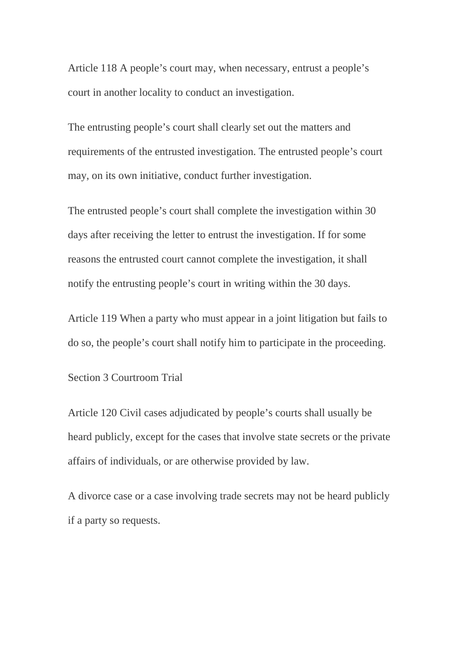Article 118 A people's court may, when necessary, entrust a people's court in another locality to conduct an investigation.

The entrusting people's court shall clearly set out the matters and requirements of the entrusted investigation. The entrusted people's court may, on its own initiative, conduct further investigation.

The entrusted people's court shall complete the investigation within 30 days after receiving the letter to entrust the investigation. If for some reasons the entrusted court cannot complete the investigation, it shall notify the entrusting people's court in writing within the 30 days.

Article 119 When a party who must appear in a joint litigation but fails to do so, the people's court shall notify him to participate in the proceeding.

Section 3 Courtroom Trial

Article 120 Civil cases adjudicated by people's courts shall usually be heard publicly, except for the cases that involve state secrets or the private affairs of individuals, or are otherwise provided by law.

A divorce case or a case involving trade secrets may not be heard publicly if a party so requests.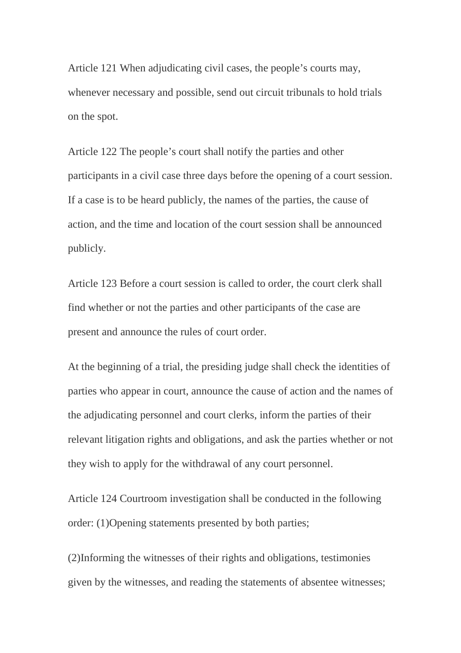Article 121 When adjudicating civil cases, the people's courts may, whenever necessary and possible, send out circuit tribunals to hold trials on the spot.

Article 122 The people's court shall notify the parties and other participants in a civil case three days before the opening of a court session. If a case is to be heard publicly, the names of the parties, the cause of action, and the time and location of the court session shall be announced publicly.

Article 123 Before a court session is called to order, the court clerk shall find whether or not the parties and other participants of the case are present and announce the rules of court order.

At the beginning of a trial, the presiding judge shall check the identities of parties who appear in court, announce the cause of action and the names of the adjudicating personnel and court clerks, inform the parties of their relevant litigation rights and obligations, and ask the parties whether or not they wish to apply for the withdrawal of any court personnel.

Article 124 Courtroom investigation shall be conducted in the following order: (1)Opening statements presented by both parties;

(2)Informing the witnesses of their rights and obligations, testimonies given by the witnesses, and reading the statements of absentee witnesses;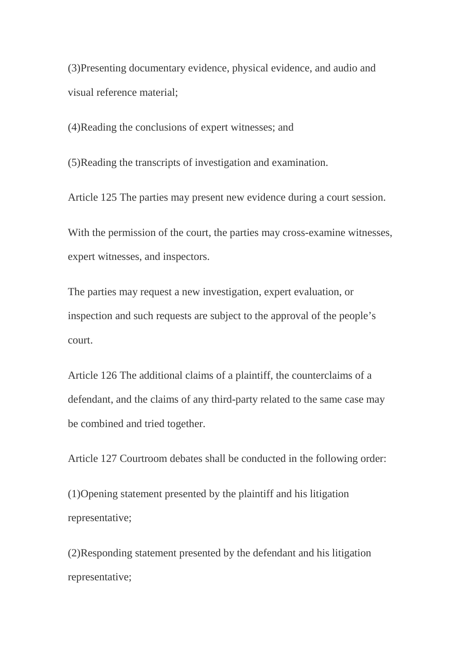(3)Presenting documentary evidence, physical evidence, and audio and visual reference material;

(4)Reading the conclusions of expert witnesses; and

(5)Reading the transcripts of investigation and examination.

Article 125 The parties may present new evidence during a court session.

With the permission of the court, the parties may cross-examine witnesses, expert witnesses, and inspectors.

The parties may request a new investigation, expert evaluation, or inspection and such requests are subject to the approval of the people's court.

Article 126 The additional claims of a plaintiff, the counterclaims of a defendant, and the claims of any third-party related to the same case may be combined and tried together.

Article 127 Courtroom debates shall be conducted in the following order:

(1)Opening statement presented by the plaintiff and his litigation representative;

(2)Responding statement presented by the defendant and his litigation representative;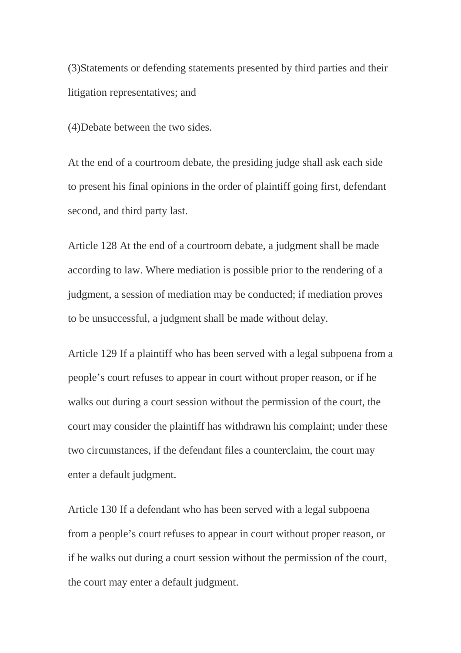(3)Statements or defending statements presented by third parties and their litigation representatives; and

(4)Debate between the two sides.

At the end of a courtroom debate, the presiding judge shall ask each side to present his final opinions in the order of plaintiff going first, defendant second, and third party last.

Article 128 At the end of a courtroom debate, a judgment shall be made according to law. Where mediation is possible prior to the rendering of a judgment, a session of mediation may be conducted; if mediation proves to be unsuccessful, a judgment shall be made without delay.

Article 129 If a plaintiff who has been served with a legal subpoena from a people's court refuses to appear in court without proper reason, or if he walks out during a court session without the permission of the court, the court may consider the plaintiff has withdrawn his complaint; under these two circumstances, if the defendant files a counterclaim, the court may enter a default judgment.

Article 130 If a defendant who has been served with a legal subpoena from a people's court refuses to appear in court without proper reason, or if he walks out during a court session without the permission of the court, the court may enter a default judgment.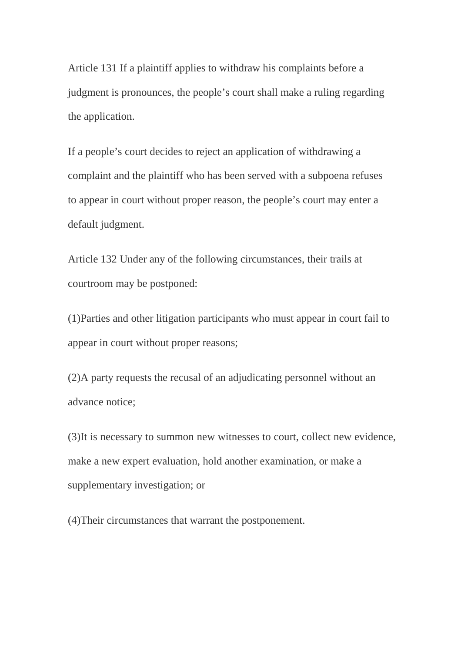Article 131 If a plaintiff applies to withdraw his complaints before a judgment is pronounces, the people's court shall make a ruling regarding the application.

If a people's court decides to reject an application of withdrawing a complaint and the plaintiff who has been served with a subpoena refuses to appear in court without proper reason, the people's court may enter a default judgment.

Article 132 Under any of the following circumstances, their trails at courtroom may be postponed:

(1)Parties and other litigation participants who must appear in court fail to appear in court without proper reasons;

(2)A party requests the recusal of an adjudicating personnel without an advance notice;

(3)It is necessary to summon new witnesses to court, collect new evidence, make a new expert evaluation, hold another examination, or make a supplementary investigation; or

(4)Their circumstances that warrant the postponement.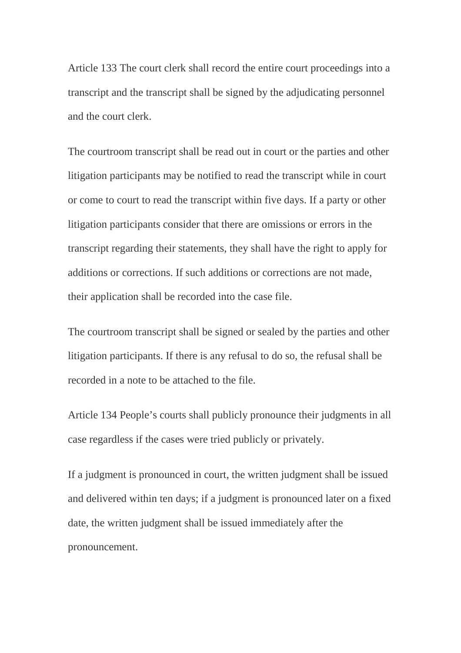Article 133 The court clerk shall record the entire court proceedings into a transcript and the transcript shall be signed by the adjudicating personnel and the court clerk.

The courtroom transcript shall be read out in court or the parties and other litigation participants may be notified to read the transcript while in court or come to court to read the transcript within five days. If a party or other litigation participants consider that there are omissions or errors in the transcript regarding their statements, they shall have the right to apply for additions or corrections. If such additions or corrections are not made, their application shall be recorded into the case file.

The courtroom transcript shall be signed or sealed by the parties and other litigation participants. If there is any refusal to do so, the refusal shall be recorded in a note to be attached to the file.

Article 134 People's courts shall publicly pronounce their judgments in all case regardless if the cases were tried publicly or privately.

If a judgment is pronounced in court, the written judgment shall be issued and delivered within ten days; if a judgment is pronounced later on a fixed date, the written judgment shall be issued immediately after the pronouncement.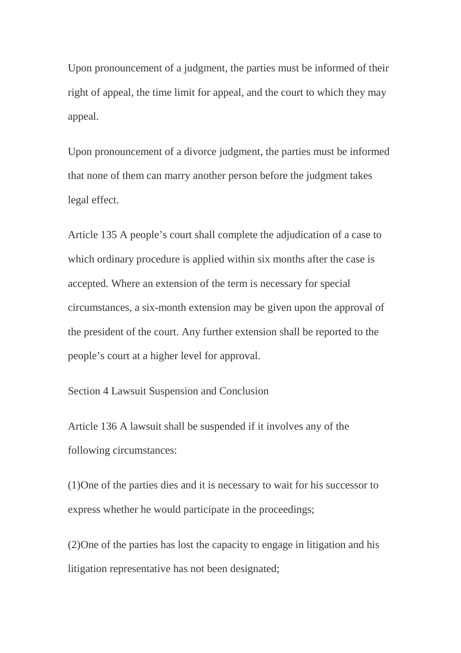Upon pronouncement of a judgment, the parties must be informed of their right of appeal, the time limit for appeal, and the court to which they may appeal.

Upon pronouncement of a divorce judgment, the parties must be informed that none of them can marry another person before the judgment takes legal effect.

Article 135 A people's court shall complete the adjudication of a case to which ordinary procedure is applied within six months after the case is accepted. Where an extension of the term is necessary for special circumstances, a six-month extension may be given upon the approval of the president of the court. Any further extension shall be reported to the people's court at a higher level for approval.

Section 4 Lawsuit Suspension and Conclusion

Article 136 A lawsuit shall be suspended if it involves any of the following circumstances:

(1)One of the parties dies and it is necessary to wait for his successor to express whether he would participate in the proceedings;

(2)One of the parties has lost the capacity to engage in litigation and his litigation representative has not been designated;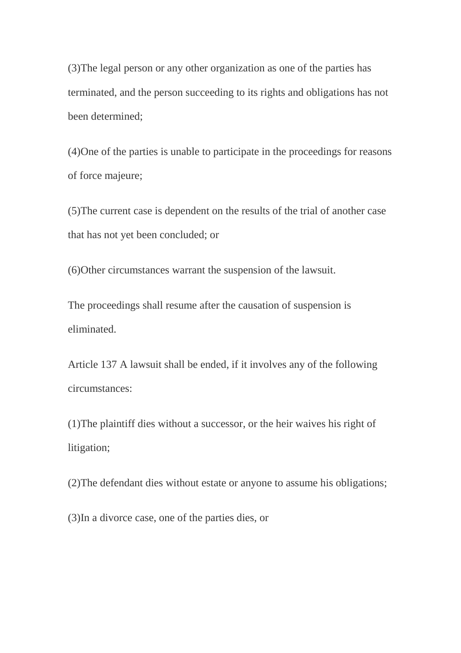(3)The legal person or any other organization as one of the parties has terminated, and the person succeeding to its rights and obligations has not been determined;

(4)One of the parties is unable to participate in the proceedings for reasons of force majeure;

(5)The current case is dependent on the results of the trial of another case that has not yet been concluded; or

(6)Other circumstances warrant the suspension of the lawsuit.

The proceedings shall resume after the causation of suspension is eliminated.

Article 137 A lawsuit shall be ended, if it involves any of the following circumstances:

(1)The plaintiff dies without a successor, or the heir waives his right of litigation;

(2)The defendant dies without estate or anyone to assume his obligations;

(3)In a divorce case, one of the parties dies, or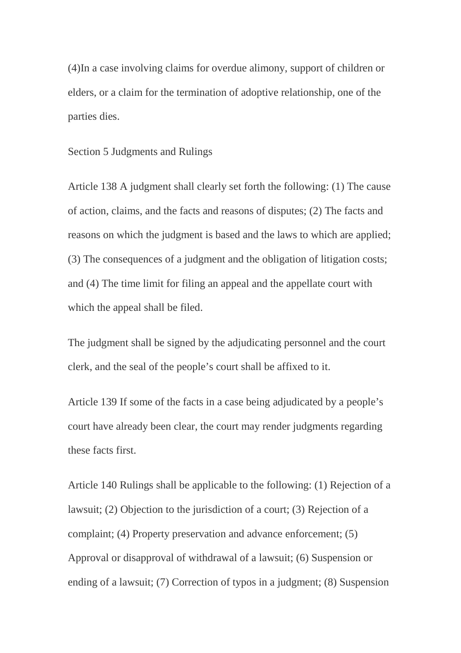(4)In a case involving claims for overdue alimony, support of children or elders, or a claim for the termination of adoptive relationship, one of the parties dies.

### Section 5 Judgments and Rulings

Article 138 A judgment shall clearly set forth the following: (1) The cause of action, claims, and the facts and reasons of disputes; (2) The facts and reasons on which the judgment is based and the laws to which are applied; (3) The consequences of a judgment and the obligation of litigation costs; and (4) The time limit for filing an appeal and the appellate court with which the appeal shall be filed.

The judgment shall be signed by the adjudicating personnel and the court clerk, and the seal of the people's court shall be affixed to it.

Article 139 If some of the facts in a case being adjudicated by a people's court have already been clear, the court may render judgments regarding these facts first.

Article 140 Rulings shall be applicable to the following: (1) Rejection of a lawsuit; (2) Objection to the jurisdiction of a court; (3) Rejection of a complaint; (4) Property preservation and advance enforcement; (5) Approval or disapproval of withdrawal of a lawsuit; (6) Suspension or ending of a lawsuit; (7) Correction of typos in a judgment; (8) Suspension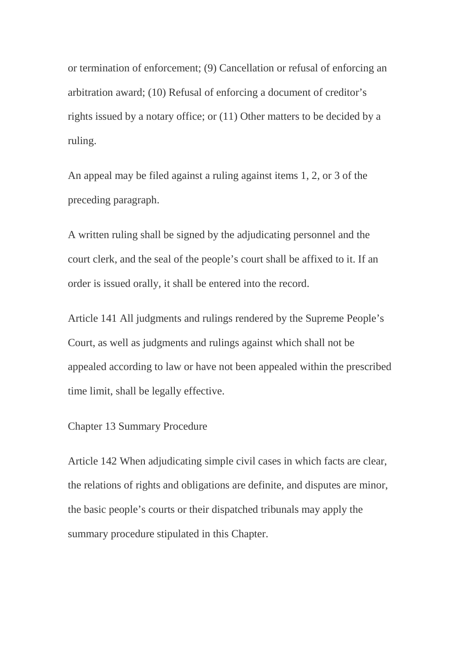or termination of enforcement; (9) Cancellation or refusal of enforcing an arbitration award; (10) Refusal of enforcing a document of creditor's rights issued by a notary office; or (11) Other matters to be decided by a ruling.

An appeal may be filed against a ruling against items 1, 2, or 3 of the preceding paragraph.

A written ruling shall be signed by the adjudicating personnel and the court clerk, and the seal of the people's court shall be affixed to it. If an order is issued orally, it shall be entered into the record.

Article 141 All judgments and rulings rendered by the Supreme People's Court, as well as judgments and rulings against which shall not be appealed according to law or have not been appealed within the prescribed time limit, shall be legally effective.

# Chapter 13 Summary Procedure

Article 142 When adjudicating simple civil cases in which facts are clear, the relations of rights and obligations are definite, and disputes are minor, the basic people's courts or their dispatched tribunals may apply the summary procedure stipulated in this Chapter.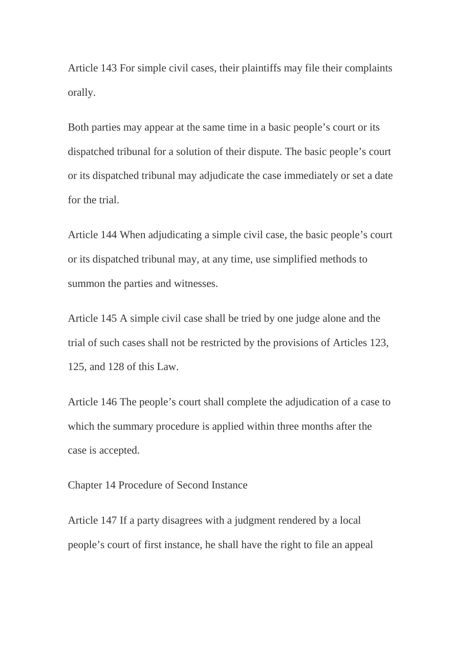Article 143 For simple civil cases, their plaintiffs may file their complaints orally.

Both parties may appear at the same time in a basic people's court or its dispatched tribunal for a solution of their dispute. The basic people's court or its dispatched tribunal may adjudicate the case immediately or set a date for the trial.

Article 144 When adjudicating a simple civil case, the basic people's court or its dispatched tribunal may, at any time, use simplified methods to summon the parties and witnesses.

Article 145 A simple civil case shall be tried by one judge alone and the trial of such cases shall not be restricted by the provisions of Articles 123, 125, and 128 of this Law.

Article 146 The people's court shall complete the adjudication of a case to which the summary procedure is applied within three months after the case is accepted.

Chapter 14 Procedure of Second Instance

Article 147 If a party disagrees with a judgment rendered by a local people's court of first instance, he shall have the right to file an appeal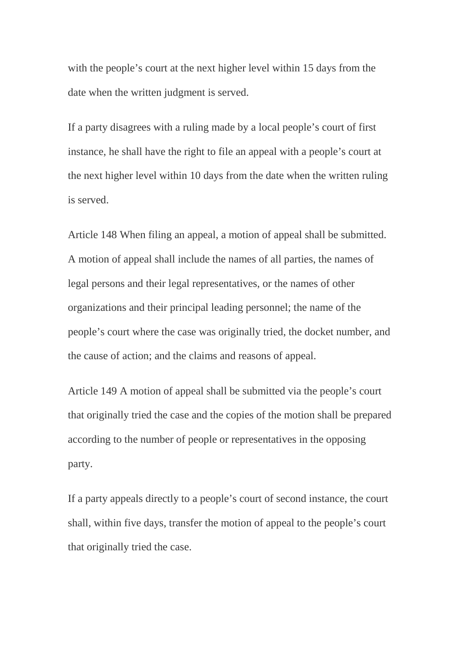with the people's court at the next higher level within 15 days from the date when the written judgment is served.

If a party disagrees with a ruling made by a local people's court of first instance, he shall have the right to file an appeal with a people's court at the next higher level within 10 days from the date when the written ruling is served.

Article 148 When filing an appeal, a motion of appeal shall be submitted. A motion of appeal shall include the names of all parties, the names of legal persons and their legal representatives, or the names of other organizations and their principal leading personnel; the name of the people's court where the case was originally tried, the docket number, and the cause of action; and the claims and reasons of appeal.

Article 149 A motion of appeal shall be submitted via the people's court that originally tried the case and the copies of the motion shall be prepared according to the number of people or representatives in the opposing party.

If a party appeals directly to a people's court of second instance, the court shall, within five days, transfer the motion of appeal to the people's court that originally tried the case.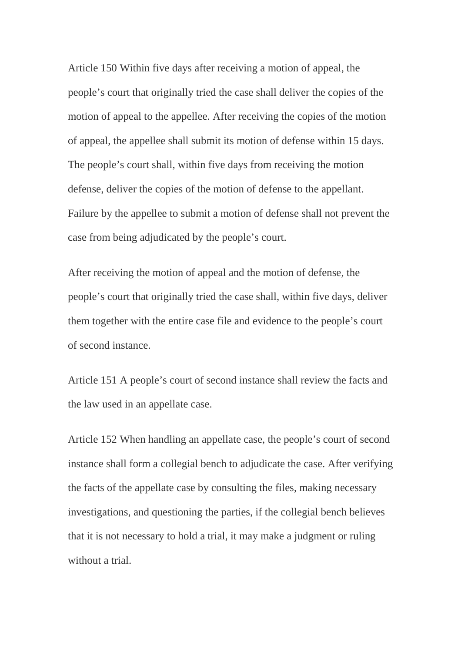Article 150 Within five days after receiving a motion of appeal, the people's court that originally tried the case shall deliver the copies of the motion of appeal to the appellee. After receiving the copies of the motion of appeal, the appellee shall submit its motion of defense within 15 days. The people's court shall, within five days from receiving the motion defense, deliver the copies of the motion of defense to the appellant. Failure by the appellee to submit a motion of defense shall not prevent the case from being adjudicated by the people's court.

After receiving the motion of appeal and the motion of defense, the people's court that originally tried the case shall, within five days, deliver them together with the entire case file and evidence to the people's court of second instance.

Article 151 A people's court of second instance shall review the facts and the law used in an appellate case.

Article 152 When handling an appellate case, the people's court of second instance shall form a collegial bench to adjudicate the case. After verifying the facts of the appellate case by consulting the files, making necessary investigations, and questioning the parties, if the collegial bench believes that it is not necessary to hold a trial, it may make a judgment or ruling without a trial.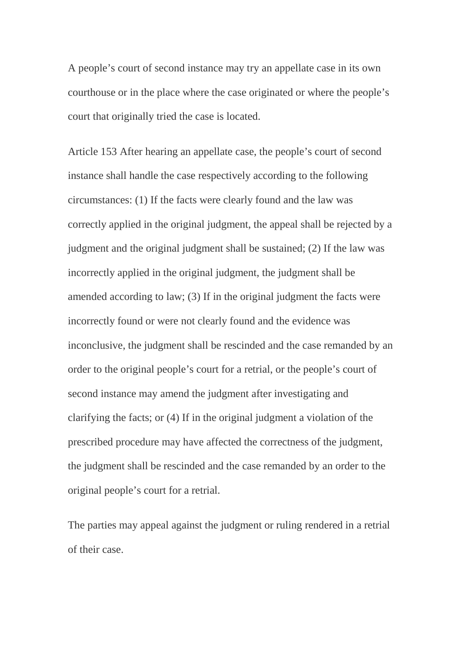A people's court of second instance may try an appellate case in its own courthouse or in the place where the case originated or where the people's court that originally tried the case is located.

Article 153 After hearing an appellate case, the people's court of second instance shall handle the case respectively according to the following circumstances: (1) If the facts were clearly found and the law was correctly applied in the original judgment, the appeal shall be rejected by a judgment and the original judgment shall be sustained; (2) If the law was incorrectly applied in the original judgment, the judgment shall be amended according to law; (3) If in the original judgment the facts were incorrectly found or were not clearly found and the evidence was inconclusive, the judgment shall be rescinded and the case remanded by an order to the original people's court for a retrial, or the people's court of second instance may amend the judgment after investigating and clarifying the facts; or (4) If in the original judgment a violation of the prescribed procedure may have affected the correctness of the judgment, the judgment shall be rescinded and the case remanded by an order to the original people's court for a retrial.

The parties may appeal against the judgment or ruling rendered in a retrial of their case.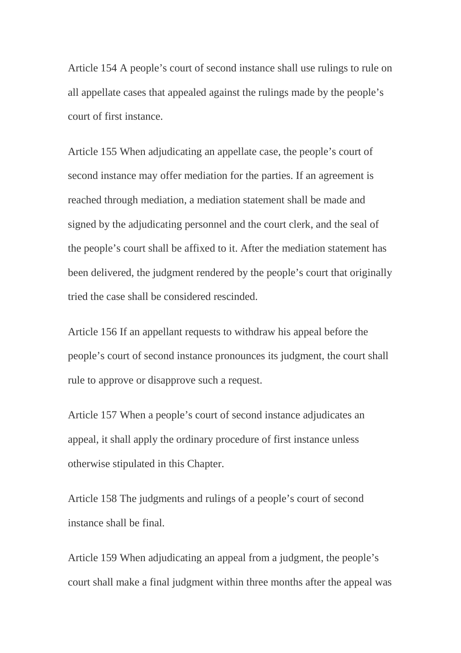Article 154 A people's court of second instance shall use rulings to rule on all appellate cases that appealed against the rulings made by the people's court of first instance.

Article 155 When adjudicating an appellate case, the people's court of second instance may offer mediation for the parties. If an agreement is reached through mediation, a mediation statement shall be made and signed by the adjudicating personnel and the court clerk, and the seal of the people's court shall be affixed to it. After the mediation statement has been delivered, the judgment rendered by the people's court that originally tried the case shall be considered rescinded.

Article 156 If an appellant requests to withdraw his appeal before the people's court of second instance pronounces its judgment, the court shall rule to approve or disapprove such a request.

Article 157 When a people's court of second instance adjudicates an appeal, it shall apply the ordinary procedure of first instance unless otherwise stipulated in this Chapter.

Article 158 The judgments and rulings of a people's court of second instance shall be final.

Article 159 When adjudicating an appeal from a judgment, the people's court shall make a final judgment within three months after the appeal was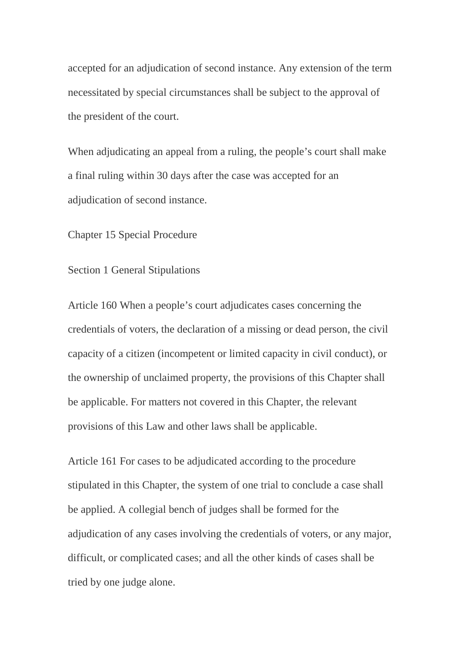accepted for an adjudication of second instance. Any extension of the term necessitated by special circumstances shall be subject to the approval of the president of the court.

When adjudicating an appeal from a ruling, the people's court shall make a final ruling within 30 days after the case was accepted for an adjudication of second instance.

Chapter 15 Special Procedure

Section 1 General Stipulations

Article 160 When a people's court adjudicates cases concerning the credentials of voters, the declaration of a missing or dead person, the civil capacity of a citizen (incompetent or limited capacity in civil conduct), or the ownership of unclaimed property, the provisions of this Chapter shall be applicable. For matters not covered in this Chapter, the relevant provisions of this Law and other laws shall be applicable.

Article 161 For cases to be adjudicated according to the procedure stipulated in this Chapter, the system of one trial to conclude a case shall be applied. A collegial bench of judges shall be formed for the adjudication of any cases involving the credentials of voters, or any major, difficult, or complicated cases; and all the other kinds of cases shall be tried by one judge alone.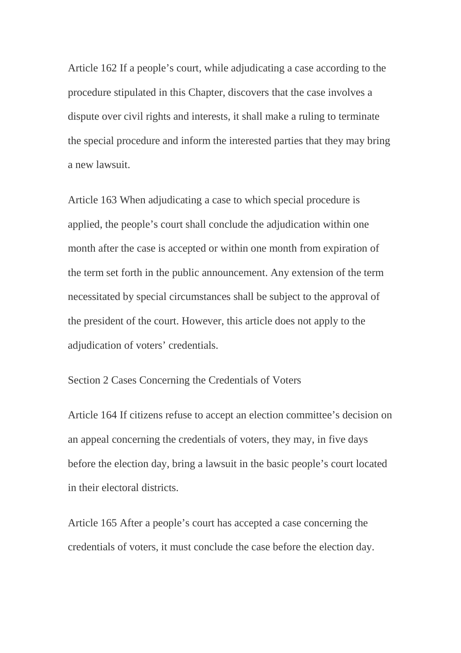Article 162 If a people's court, while adjudicating a case according to the procedure stipulated in this Chapter, discovers that the case involves a dispute over civil rights and interests, it shall make a ruling to terminate the special procedure and inform the interested parties that they may bring a new lawsuit.

Article 163 When adjudicating a case to which special procedure is applied, the people's court shall conclude the adjudication within one month after the case is accepted or within one month from expiration of the term set forth in the public announcement. Any extension of the term necessitated by special circumstances shall be subject to the approval of the president of the court. However, this article does not apply to the adjudication of voters' credentials.

### Section 2 Cases Concerning the Credentials of Voters

Article 164 If citizens refuse to accept an election committee's decision on an appeal concerning the credentials of voters, they may, in five days before the election day, bring a lawsuit in the basic people's court located in their electoral districts.

Article 165 After a people's court has accepted a case concerning the credentials of voters, it must conclude the case before the election day.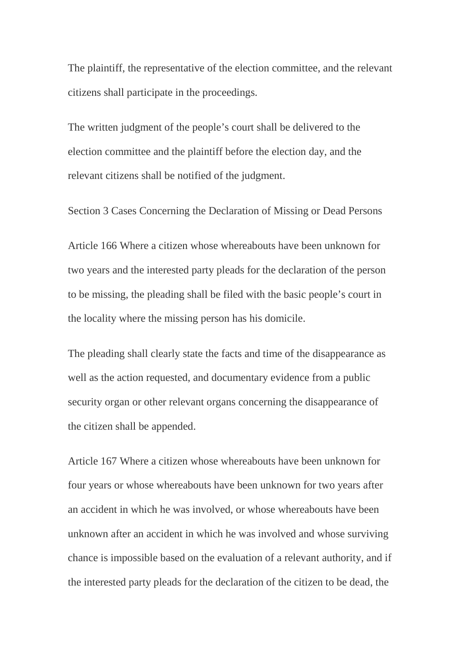The plaintiff, the representative of the election committee, and the relevant citizens shall participate in the proceedings.

The written judgment of the people's court shall be delivered to the election committee and the plaintiff before the election day, and the relevant citizens shall be notified of the judgment.

Section 3 Cases Concerning the Declaration of Missing or Dead Persons

Article 166 Where a citizen whose whereabouts have been unknown for two years and the interested party pleads for the declaration of the person to be missing, the pleading shall be filed with the basic people's court in the locality where the missing person has his domicile.

The pleading shall clearly state the facts and time of the disappearance as well as the action requested, and documentary evidence from a public security organ or other relevant organs concerning the disappearance of the citizen shall be appended.

Article 167 Where a citizen whose whereabouts have been unknown for four years or whose whereabouts have been unknown for two years after an accident in which he was involved, or whose whereabouts have been unknown after an accident in which he was involved and whose surviving chance is impossible based on the evaluation of a relevant authority, and if the interested party pleads for the declaration of the citizen to be dead, the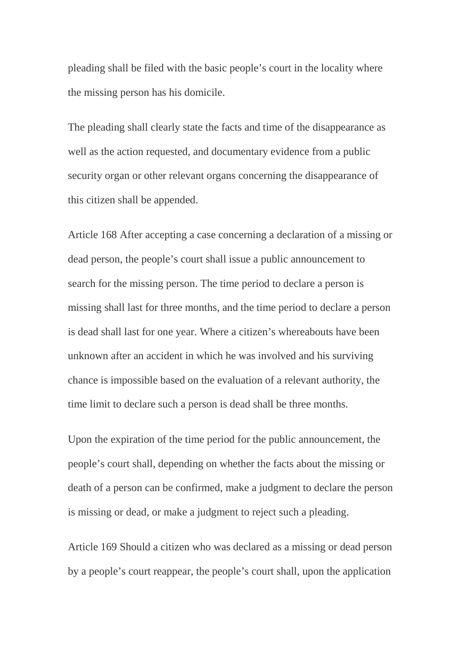pleading shall be filed with the basic people's court in the locality where the missing person has his domicile.

The pleading shall clearly state the facts and time of the disappearance as well as the action requested, and documentary evidence from a public security organ or other relevant organs concerning the disappearance of this citizen shall be appended.

Article 168 After accepting a case concerning a declaration of a missing or dead person, the people's court shall issue a public announcement to search for the missing person. The time period to declare a person is missing shall last for three months, and the time period to declare a person is dead shall last for one year. Where a citizen's whereabouts have been unknown after an accident in which he was involved and his surviving chance is impossible based on the evaluation of a relevant authority, the time limit to declare such a person is dead shall be three months.

Upon the expiration of the time period for the public announcement, the people's court shall, depending on whether the facts about the missing or death of a person can be confirmed, make a judgment to declare the person is missing or dead, or make a judgment to reject such a pleading.

Article 169 Should a citizen who was declared as a missing or dead person by a people's court reappear, the people's court shall, upon the application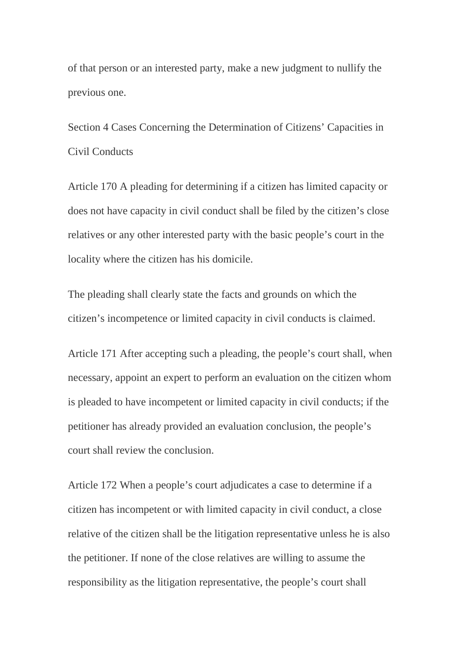of that person or an interested party, make a new judgment to nullify the previous one.

Section 4 Cases Concerning the Determination of Citizens' Capacities in Civil Conducts

Article 170 A pleading for determining if a citizen has limited capacity or does not have capacity in civil conduct shall be filed by the citizen's close relatives or any other interested party with the basic people's court in the locality where the citizen has his domicile.

The pleading shall clearly state the facts and grounds on which the citizen's incompetence or limited capacity in civil conducts is claimed.

Article 171 After accepting such a pleading, the people's court shall, when necessary, appoint an expert to perform an evaluation on the citizen whom is pleaded to have incompetent or limited capacity in civil conducts; if the petitioner has already provided an evaluation conclusion, the people's court shall review the conclusion.

Article 172 When a people's court adjudicates a case to determine if a citizen has incompetent or with limited capacity in civil conduct, a close relative of the citizen shall be the litigation representative unless he is also the petitioner. If none of the close relatives are willing to assume the responsibility as the litigation representative, the people's court shall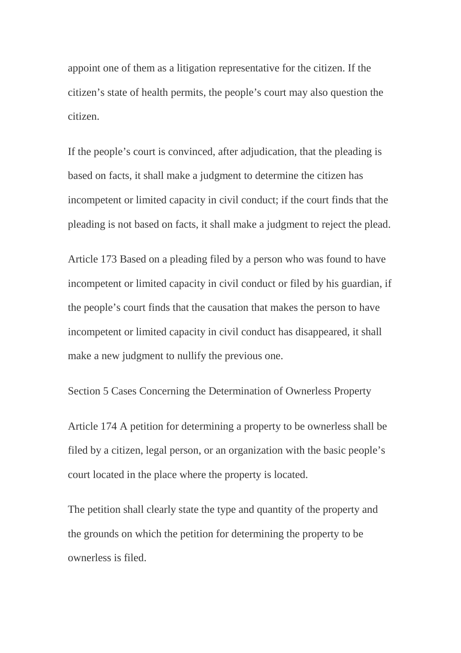appoint one of them as a litigation representative for the citizen. If the citizen's state of health permits, the people's court may also question the citizen.

If the people's court is convinced, after adjudication, that the pleading is based on facts, it shall make a judgment to determine the citizen has incompetent or limited capacity in civil conduct; if the court finds that the pleading is not based on facts, it shall make a judgment to reject the plead.

Article 173 Based on a pleading filed by a person who was found to have incompetent or limited capacity in civil conduct or filed by his guardian, if the people's court finds that the causation that makes the person to have incompetent or limited capacity in civil conduct has disappeared, it shall make a new judgment to nullify the previous one.

Section 5 Cases Concerning the Determination of Ownerless Property

Article 174 A petition for determining a property to be ownerless shall be filed by a citizen, legal person, or an organization with the basic people's court located in the place where the property is located.

The petition shall clearly state the type and quantity of the property and the grounds on which the petition for determining the property to be ownerless is filed.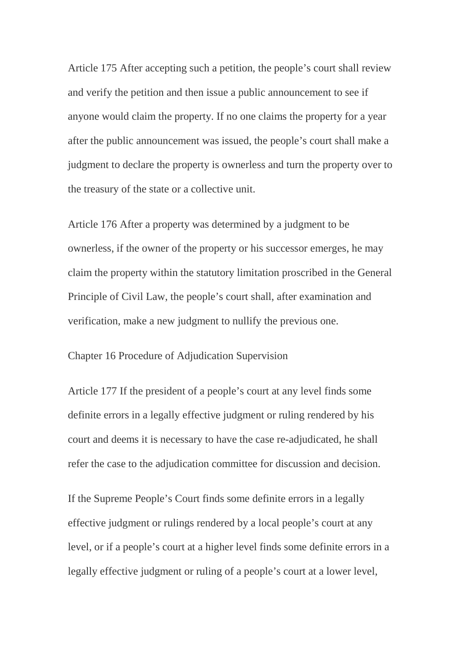Article 175 After accepting such a petition, the people's court shall review and verify the petition and then issue a public announcement to see if anyone would claim the property. If no one claims the property for a year after the public announcement was issued, the people's court shall make a judgment to declare the property is ownerless and turn the property over to the treasury of the state or a collective unit.

Article 176 After a property was determined by a judgment to be ownerless, if the owner of the property or his successor emerges, he may claim the property within the statutory limitation proscribed in the General Principle of Civil Law, the people's court shall, after examination and verification, make a new judgment to nullify the previous one.

Chapter 16 Procedure of Adjudication Supervision

Article 177 If the president of a people's court at any level finds some definite errors in a legally effective judgment or ruling rendered by his court and deems it is necessary to have the case re-adjudicated, he shall refer the case to the adjudication committee for discussion and decision.

If the Supreme People's Court finds some definite errors in a legally effective judgment or rulings rendered by a local people's court at any level, or if a people's court at a higher level finds some definite errors in a legally effective judgment or ruling of a people's court at a lower level,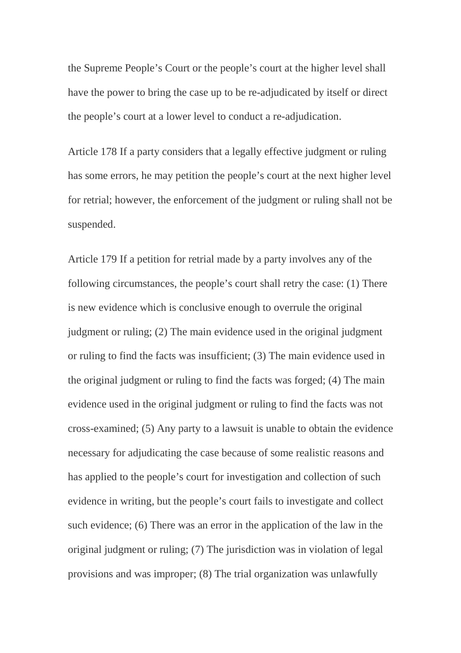the Supreme People's Court or the people's court at the higher level shall have the power to bring the case up to be re-adjudicated by itself or direct the people's court at a lower level to conduct a re-adjudication.

Article 178 If a party considers that a legally effective judgment or ruling has some errors, he may petition the people's court at the next higher level for retrial; however, the enforcement of the judgment or ruling shall not be suspended.

Article 179 If a petition for retrial made by a party involves any of the following circumstances, the people's court shall retry the case: (1) There is new evidence which is conclusive enough to overrule the original judgment or ruling; (2) The main evidence used in the original judgment or ruling to find the facts was insufficient; (3) The main evidence used in the original judgment or ruling to find the facts was forged; (4) The main evidence used in the original judgment or ruling to find the facts was not cross-examined; (5) Any party to a lawsuit is unable to obtain the evidence necessary for adjudicating the case because of some realistic reasons and has applied to the people's court for investigation and collection of such evidence in writing, but the people's court fails to investigate and collect such evidence; (6) There was an error in the application of the law in the original judgment or ruling; (7) The jurisdiction was in violation of legal provisions and was improper; (8) The trial organization was unlawfully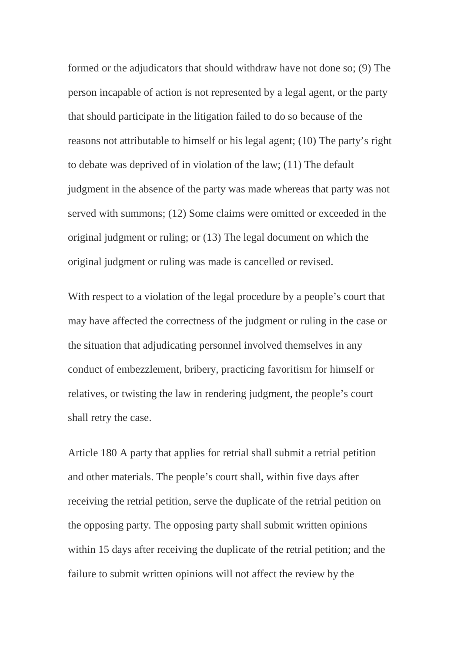formed or the adjudicators that should withdraw have not done so; (9) The person incapable of action is not represented by a legal agent, or the party that should participate in the litigation failed to do so because of the reasons not attributable to himself or his legal agent; (10) The party's right to debate was deprived of in violation of the law; (11) The default judgment in the absence of the party was made whereas that party was not served with summons; (12) Some claims were omitted or exceeded in the original judgment or ruling; or (13) The legal document on which the original judgment or ruling was made is cancelled or revised.

With respect to a violation of the legal procedure by a people's court that may have affected the correctness of the judgment or ruling in the case or the situation that adjudicating personnel involved themselves in any conduct of embezzlement, bribery, practicing favoritism for himself or relatives, or twisting the law in rendering judgment, the people's court shall retry the case.

Article 180 A party that applies for retrial shall submit a retrial petition and other materials. The people's court shall, within five days after receiving the retrial petition, serve the duplicate of the retrial petition on the opposing party. The opposing party shall submit written opinions within 15 days after receiving the duplicate of the retrial petition; and the failure to submit written opinions will not affect the review by the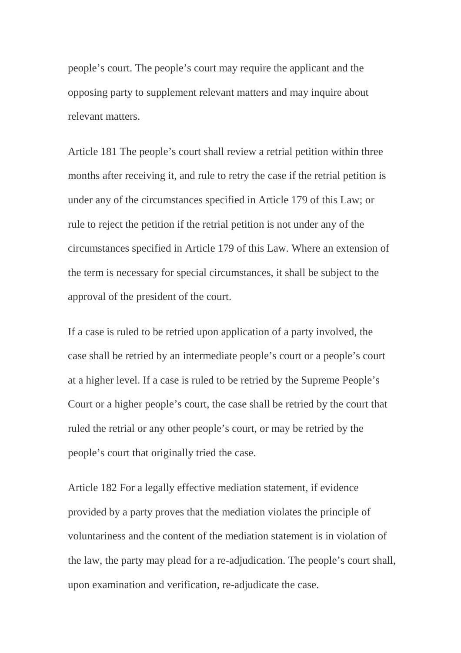people's court. The people's court may require the applicant and the opposing party to supplement relevant matters and may inquire about relevant matters.

Article 181 The people's court shall review a retrial petition within three months after receiving it, and rule to retry the case if the retrial petition is under any of the circumstances specified in Article 179 of this Law; or rule to reject the petition if the retrial petition is not under any of the circumstances specified in Article 179 of this Law. Where an extension of the term is necessary for special circumstances, it shall be subject to the approval of the president of the court.

If a case is ruled to be retried upon application of a party involved, the case shall be retried by an intermediate people's court or a people's court at a higher level. If a case is ruled to be retried by the Supreme People's Court or a higher people's court, the case shall be retried by the court that ruled the retrial or any other people's court, or may be retried by the people's court that originally tried the case.

Article 182 For a legally effective mediation statement, if evidence provided by a party proves that the mediation violates the principle of voluntariness and the content of the mediation statement is in violation of the law, the party may plead for a re-adjudication. The people's court shall, upon examination and verification, re-adjudicate the case.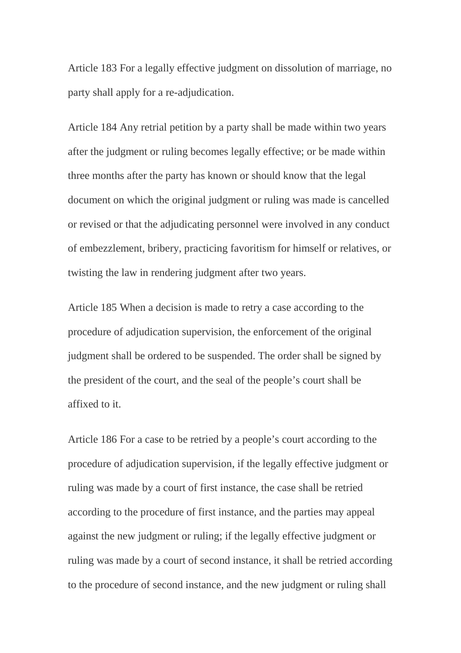Article 183 For a legally effective judgment on dissolution of marriage, no party shall apply for a re-adjudication.

Article 184 Any retrial petition by a party shall be made within two years after the judgment or ruling becomes legally effective; or be made within three months after the party has known or should know that the legal document on which the original judgment or ruling was made is cancelled or revised or that the adjudicating personnel were involved in any conduct of embezzlement, bribery, practicing favoritism for himself or relatives, or twisting the law in rendering judgment after two years.

Article 185 When a decision is made to retry a case according to the procedure of adjudication supervision, the enforcement of the original judgment shall be ordered to be suspended. The order shall be signed by the president of the court, and the seal of the people's court shall be affixed to it.

Article 186 For a case to be retried by a people's court according to the procedure of adjudication supervision, if the legally effective judgment or ruling was made by a court of first instance, the case shall be retried according to the procedure of first instance, and the parties may appeal against the new judgment or ruling; if the legally effective judgment or ruling was made by a court of second instance, it shall be retried according to the procedure of second instance, and the new judgment or ruling shall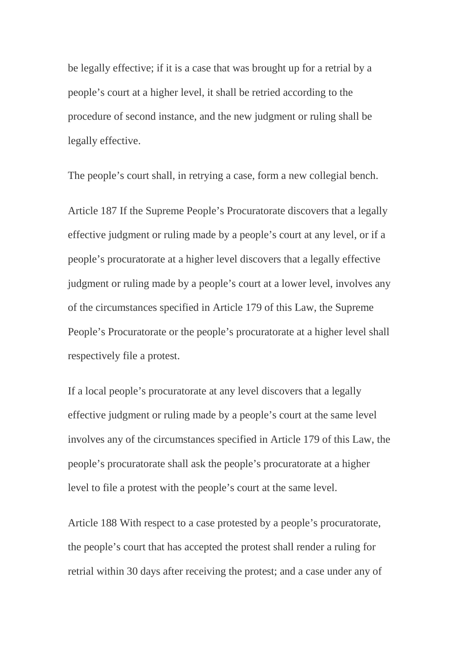be legally effective; if it is a case that was brought up for a retrial by a people's court at a higher level, it shall be retried according to the procedure of second instance, and the new judgment or ruling shall be legally effective.

The people's court shall, in retrying a case, form a new collegial bench.

Article 187 If the Supreme People's Procuratorate discovers that a legally effective judgment or ruling made by a people's court at any level, or if a people's procuratorate at a higher level discovers that a legally effective judgment or ruling made by a people's court at a lower level, involves any of the circumstances specified in Article 179 of this Law, the Supreme People's Procuratorate or the people's procuratorate at a higher level shall respectively file a protest.

If a local people's procuratorate at any level discovers that a legally effective judgment or ruling made by a people's court at the same level involves any of the circumstances specified in Article 179 of this Law, the people's procuratorate shall ask the people's procuratorate at a higher level to file a protest with the people's court at the same level.

Article 188 With respect to a case protested by a people's procuratorate, the people's court that has accepted the protest shall render a ruling for retrial within 30 days after receiving the protest; and a case under any of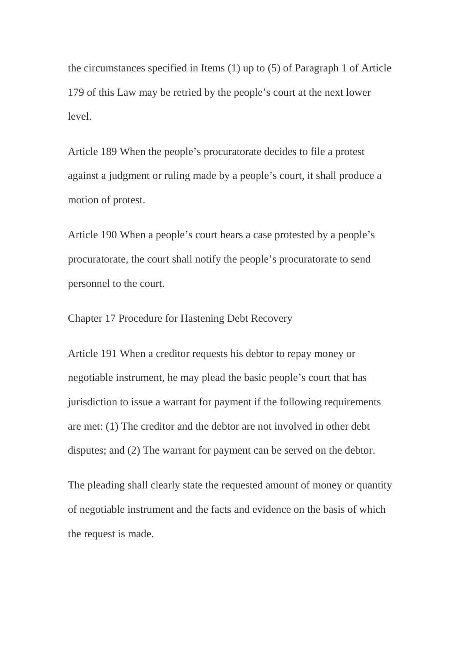the circumstances specified in Items (1) up to (5) of Paragraph 1 of Article 179 of this Law may be retried by the people's court at the next lower level.

Article 189 When the people's procuratorate decides to file a protest against a judgment or ruling made by a people's court, it shall produce a motion of protest.

Article 190 When a people's court hears a case protested by a people's procuratorate, the court shall notify the people's procuratorate to send personnel to the court.

Chapter 17 Procedure for Hastening Debt Recovery

Article 191 When a creditor requests his debtor to repay money or negotiable instrument, he may plead the basic people's court that has jurisdiction to issue a warrant for payment if the following requirements are met: (1) The creditor and the debtor are not involved in other debt disputes; and (2) The warrant for payment can be served on the debtor.

The pleading shall clearly state the requested amount of money or quantity of negotiable instrument and the facts and evidence on the basis of which the request is made.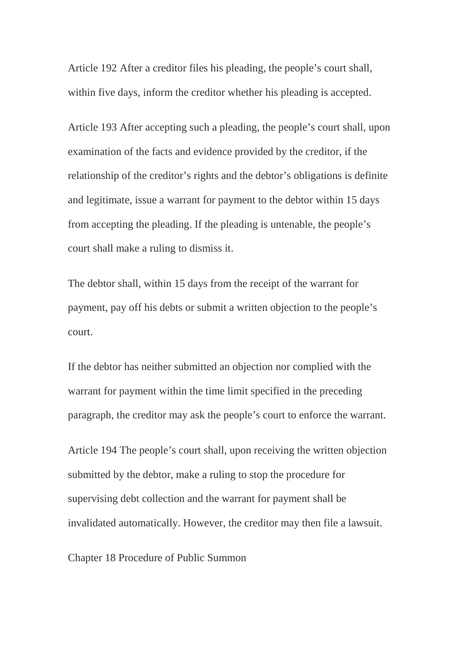Article 192 After a creditor files his pleading, the people's court shall, within five days, inform the creditor whether his pleading is accepted.

Article 193 After accepting such a pleading, the people's court shall, upon examination of the facts and evidence provided by the creditor, if the relationship of the creditor's rights and the debtor's obligations is definite and legitimate, issue a warrant for payment to the debtor within 15 days from accepting the pleading. If the pleading is untenable, the people's court shall make a ruling to dismiss it.

The debtor shall, within 15 days from the receipt of the warrant for payment, pay off his debts or submit a written objection to the people's court.

If the debtor has neither submitted an objection nor complied with the warrant for payment within the time limit specified in the preceding paragraph, the creditor may ask the people's court to enforce the warrant.

Article 194 The people's court shall, upon receiving the written objection submitted by the debtor, make a ruling to stop the procedure for supervising debt collection and the warrant for payment shall be invalidated automatically. However, the creditor may then file a lawsuit.

Chapter 18 Procedure of Public Summon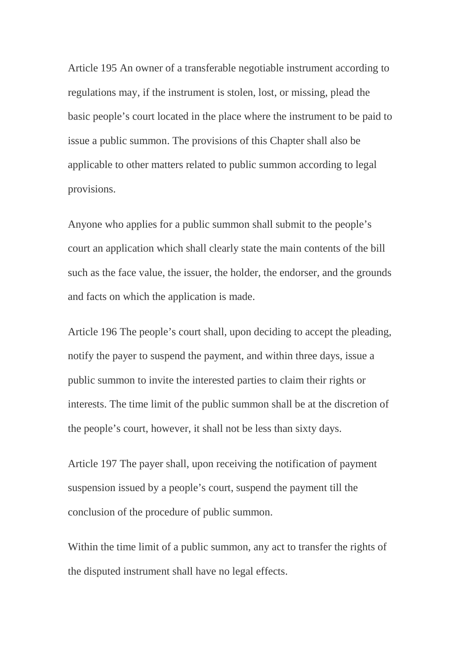Article 195 An owner of a transferable negotiable instrument according to regulations may, if the instrument is stolen, lost, or missing, plead the basic people's court located in the place where the instrument to be paid to issue a public summon. The provisions of this Chapter shall also be applicable to other matters related to public summon according to legal provisions.

Anyone who applies for a public summon shall submit to the people's court an application which shall clearly state the main contents of the bill such as the face value, the issuer, the holder, the endorser, and the grounds and facts on which the application is made.

Article 196 The people's court shall, upon deciding to accept the pleading, notify the payer to suspend the payment, and within three days, issue a public summon to invite the interested parties to claim their rights or interests. The time limit of the public summon shall be at the discretion of the people's court, however, it shall not be less than sixty days.

Article 197 The payer shall, upon receiving the notification of payment suspension issued by a people's court, suspend the payment till the conclusion of the procedure of public summon.

Within the time limit of a public summon, any act to transfer the rights of the disputed instrument shall have no legal effects.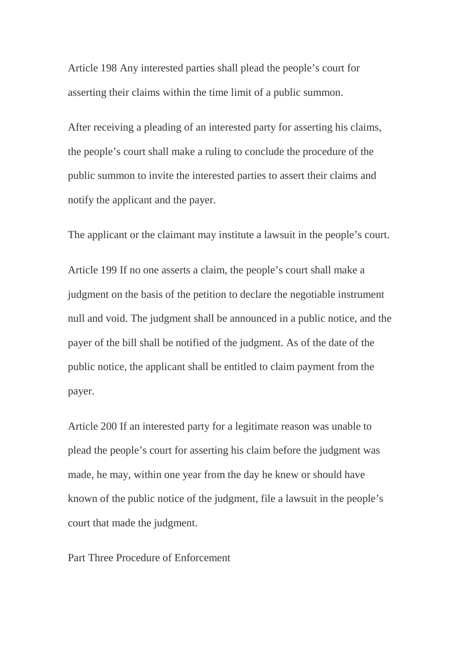Article 198 Any interested parties shall plead the people's court for asserting their claims within the time limit of a public summon.

After receiving a pleading of an interested party for asserting his claims, the people's court shall make a ruling to conclude the procedure of the public summon to invite the interested parties to assert their claims and notify the applicant and the payer.

The applicant or the claimant may institute a lawsuit in the people's court.

Article 199 If no one asserts a claim, the people's court shall make a judgment on the basis of the petition to declare the negotiable instrument null and void. The judgment shall be announced in a public notice, and the payer of the bill shall be notified of the judgment. As of the date of the public notice, the applicant shall be entitled to claim payment from the payer.

Article 200 If an interested party for a legitimate reason was unable to plead the people's court for asserting his claim before the judgment was made, he may, within one year from the day he knew or should have known of the public notice of the judgment, file a lawsuit in the people's court that made the judgment.

Part Three Procedure of Enforcement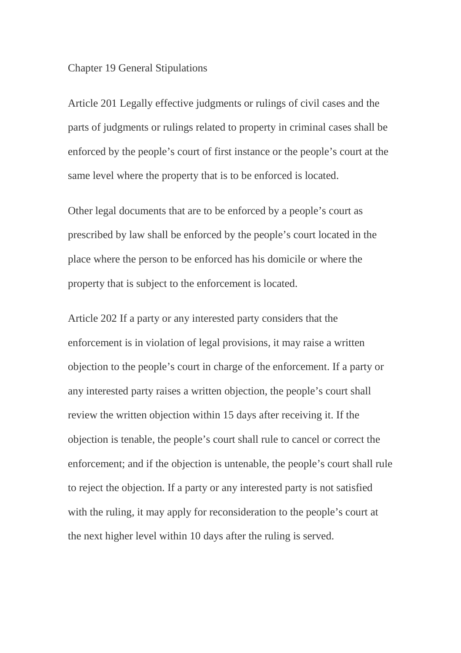## Chapter 19 General Stipulations

Article 201 Legally effective judgments or rulings of civil cases and the parts of judgments or rulings related to property in criminal cases shall be enforced by the people's court of first instance or the people's court at the same level where the property that is to be enforced is located.

Other legal documents that are to be enforced by a people's court as prescribed by law shall be enforced by the people's court located in the place where the person to be enforced has his domicile or where the property that is subject to the enforcement is located.

Article 202 If a party or any interested party considers that the enforcement is in violation of legal provisions, it may raise a written objection to the people's court in charge of the enforcement. If a party or any interested party raises a written objection, the people's court shall review the written objection within 15 days after receiving it. If the objection is tenable, the people's court shall rule to cancel or correct the enforcement; and if the objection is untenable, the people's court shall rule to reject the objection. If a party or any interested party is not satisfied with the ruling, it may apply for reconsideration to the people's court at the next higher level within 10 days after the ruling is served.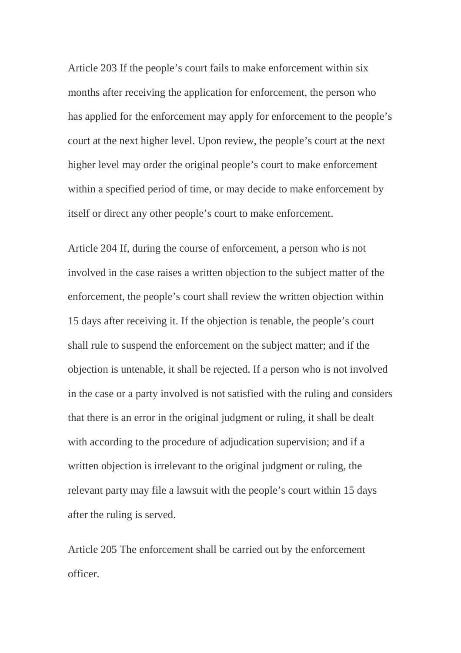Article 203 If the people's court fails to make enforcement within six months after receiving the application for enforcement, the person who has applied for the enforcement may apply for enforcement to the people's court at the next higher level. Upon review, the people's court at the next higher level may order the original people's court to make enforcement within a specified period of time, or may decide to make enforcement by itself or direct any other people's court to make enforcement.

Article 204 If, during the course of enforcement, a person who is not involved in the case raises a written objection to the subject matter of the enforcement, the people's court shall review the written objection within 15 days after receiving it. If the objection is tenable, the people's court shall rule to suspend the enforcement on the subject matter; and if the objection is untenable, it shall be rejected. If a person who is not involved in the case or a party involved is not satisfied with the ruling and considers that there is an error in the original judgment or ruling, it shall be dealt with according to the procedure of adjudication supervision; and if a written objection is irrelevant to the original judgment or ruling, the relevant party may file a lawsuit with the people's court within 15 days after the ruling is served.

Article 205 The enforcement shall be carried out by the enforcement officer.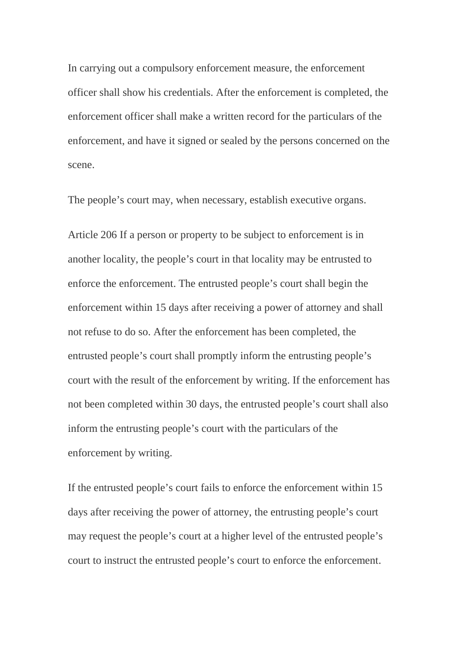In carrying out a compulsory enforcement measure, the enforcement officer shall show his credentials. After the enforcement is completed, the enforcement officer shall make a written record for the particulars of the enforcement, and have it signed or sealed by the persons concerned on the scene.

The people's court may, when necessary, establish executive organs.

Article 206 If a person or property to be subject to enforcement is in another locality, the people's court in that locality may be entrusted to enforce the enforcement. The entrusted people's court shall begin the enforcement within 15 days after receiving a power of attorney and shall not refuse to do so. After the enforcement has been completed, the entrusted people's court shall promptly inform the entrusting people's court with the result of the enforcement by writing. If the enforcement has not been completed within 30 days, the entrusted people's court shall also inform the entrusting people's court with the particulars of the enforcement by writing.

If the entrusted people's court fails to enforce the enforcement within 15 days after receiving the power of attorney, the entrusting people's court may request the people's court at a higher level of the entrusted people's court to instruct the entrusted people's court to enforce the enforcement.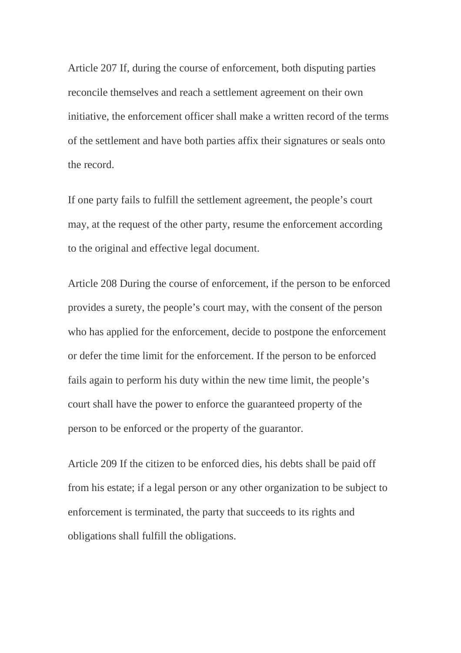Article 207 If, during the course of enforcement, both disputing parties reconcile themselves and reach a settlement agreement on their own initiative, the enforcement officer shall make a written record of the terms of the settlement and have both parties affix their signatures or seals onto the record.

If one party fails to fulfill the settlement agreement, the people's court may, at the request of the other party, resume the enforcement according to the original and effective legal document.

Article 208 During the course of enforcement, if the person to be enforced provides a surety, the people's court may, with the consent of the person who has applied for the enforcement, decide to postpone the enforcement or defer the time limit for the enforcement. If the person to be enforced fails again to perform his duty within the new time limit, the people's court shall have the power to enforce the guaranteed property of the person to be enforced or the property of the guarantor.

Article 209 If the citizen to be enforced dies, his debts shall be paid off from his estate; if a legal person or any other organization to be subject to enforcement is terminated, the party that succeeds to its rights and obligations shall fulfill the obligations.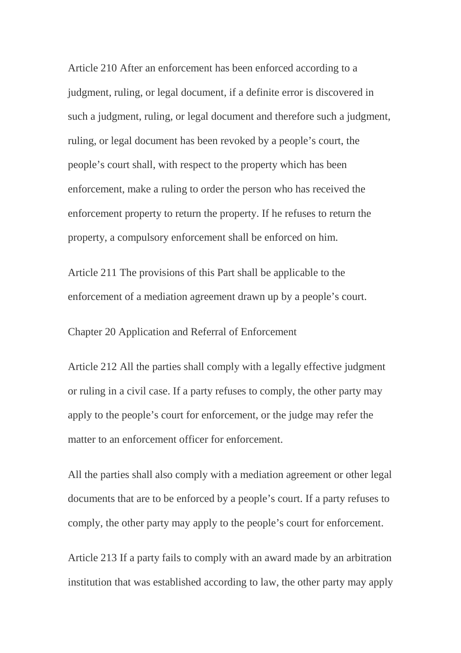Article 210 After an enforcement has been enforced according to a judgment, ruling, or legal document, if a definite error is discovered in such a judgment, ruling, or legal document and therefore such a judgment, ruling, or legal document has been revoked by a people's court, the people's court shall, with respect to the property which has been enforcement, make a ruling to order the person who has received the enforcement property to return the property. If he refuses to return the property, a compulsory enforcement shall be enforced on him.

Article 211 The provisions of this Part shall be applicable to the enforcement of a mediation agreement drawn up by a people's court.

Chapter 20 Application and Referral of Enforcement

Article 212 All the parties shall comply with a legally effective judgment or ruling in a civil case. If a party refuses to comply, the other party may apply to the people's court for enforcement, or the judge may refer the matter to an enforcement officer for enforcement.

All the parties shall also comply with a mediation agreement or other legal documents that are to be enforced by a people's court. If a party refuses to comply, the other party may apply to the people's court for enforcement.

Article 213 If a party fails to comply with an award made by an arbitration institution that was established according to law, the other party may apply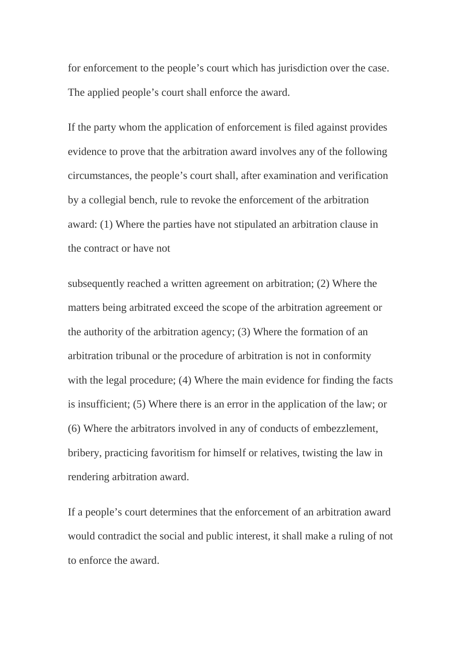for enforcement to the people's court which has jurisdiction over the case. The applied people's court shall enforce the award.

If the party whom the application of enforcement is filed against provides evidence to prove that the arbitration award involves any of the following circumstances, the people's court shall, after examination and verification by a collegial bench, rule to revoke the enforcement of the arbitration award: (1) Where the parties have not stipulated an arbitration clause in the contract or have not

subsequently reached a written agreement on arbitration; (2) Where the matters being arbitrated exceed the scope of the arbitration agreement or the authority of the arbitration agency; (3) Where the formation of an arbitration tribunal or the procedure of arbitration is not in conformity with the legal procedure; (4) Where the main evidence for finding the facts is insufficient; (5) Where there is an error in the application of the law; or (6) Where the arbitrators involved in any of conducts of embezzlement, bribery, practicing favoritism for himself or relatives, twisting the law in rendering arbitration award.

If a people's court determines that the enforcement of an arbitration award would contradict the social and public interest, it shall make a ruling of not to enforce the award.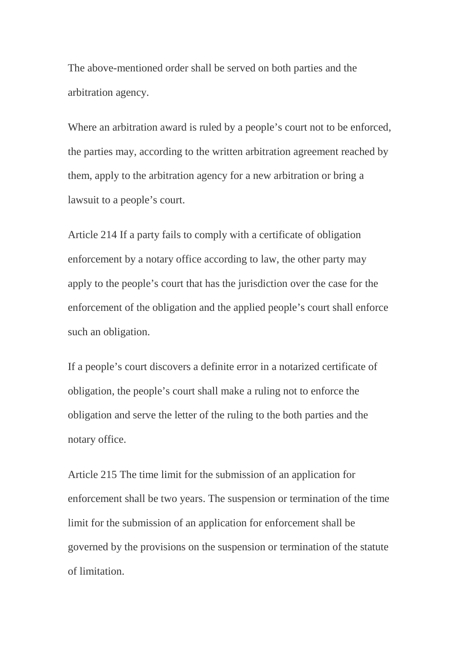The above-mentioned order shall be served on both parties and the arbitration agency.

Where an arbitration award is ruled by a people's court not to be enforced, the parties may, according to the written arbitration agreement reached by them, apply to the arbitration agency for a new arbitration or bring a lawsuit to a people's court.

Article 214 If a party fails to comply with a certificate of obligation enforcement by a notary office according to law, the other party may apply to the people's court that has the jurisdiction over the case for the enforcement of the obligation and the applied people's court shall enforce such an obligation.

If a people's court discovers a definite error in a notarized certificate of obligation, the people's court shall make a ruling not to enforce the obligation and serve the letter of the ruling to the both parties and the notary office.

Article 215 The time limit for the submission of an application for enforcement shall be two years. The suspension or termination of the time limit for the submission of an application for enforcement shall be governed by the provisions on the suspension or termination of the statute of limitation.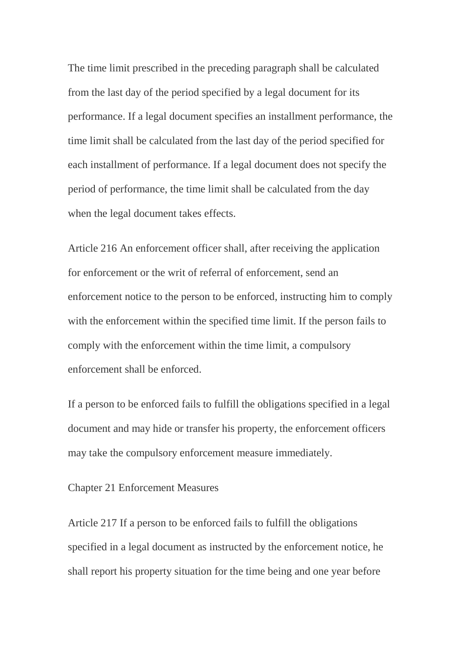The time limit prescribed in the preceding paragraph shall be calculated from the last day of the period specified by a legal document for its performance. If a legal document specifies an installment performance, the time limit shall be calculated from the last day of the period specified for each installment of performance. If a legal document does not specify the period of performance, the time limit shall be calculated from the day when the legal document takes effects.

Article 216 An enforcement officer shall, after receiving the application for enforcement or the writ of referral of enforcement, send an enforcement notice to the person to be enforced, instructing him to comply with the enforcement within the specified time limit. If the person fails to comply with the enforcement within the time limit, a compulsory enforcement shall be enforced.

If a person to be enforced fails to fulfill the obligations specified in a legal document and may hide or transfer his property, the enforcement officers may take the compulsory enforcement measure immediately.

## Chapter 21 Enforcement Measures

Article 217 If a person to be enforced fails to fulfill the obligations specified in a legal document as instructed by the enforcement notice, he shall report his property situation for the time being and one year before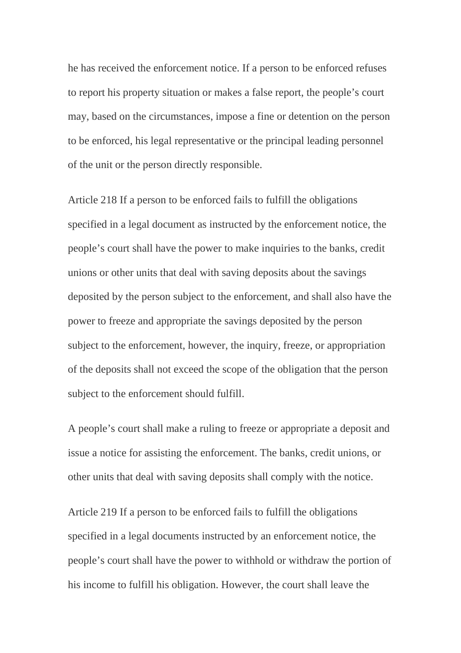he has received the enforcement notice. If a person to be enforced refuses to report his property situation or makes a false report, the people's court may, based on the circumstances, impose a fine or detention on the person to be enforced, his legal representative or the principal leading personnel of the unit or the person directly responsible.

Article 218 If a person to be enforced fails to fulfill the obligations specified in a legal document as instructed by the enforcement notice, the people's court shall have the power to make inquiries to the banks, credit unions or other units that deal with saving deposits about the savings deposited by the person subject to the enforcement, and shall also have the power to freeze and appropriate the savings deposited by the person subject to the enforcement, however, the inquiry, freeze, or appropriation of the deposits shall not exceed the scope of the obligation that the person subject to the enforcement should fulfill.

A people's court shall make a ruling to freeze or appropriate a deposit and issue a notice for assisting the enforcement. The banks, credit unions, or other units that deal with saving deposits shall comply with the notice.

Article 219 If a person to be enforced fails to fulfill the obligations specified in a legal documents instructed by an enforcement notice, the people's court shall have the power to withhold or withdraw the portion of his income to fulfill his obligation. However, the court shall leave the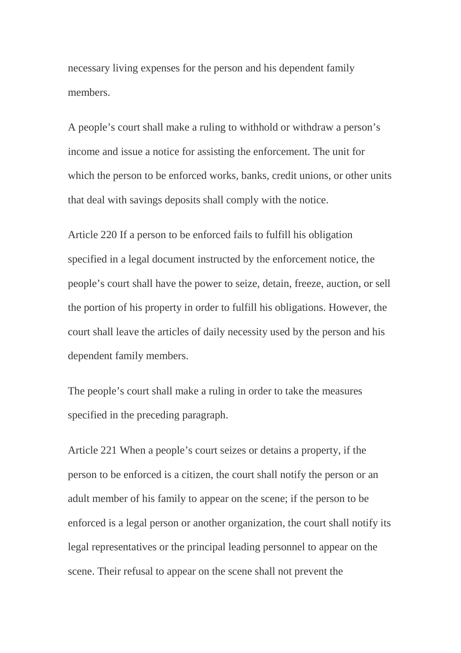necessary living expenses for the person and his dependent family members.

A people's court shall make a ruling to withhold or withdraw a person's income and issue a notice for assisting the enforcement. The unit for which the person to be enforced works, banks, credit unions, or other units that deal with savings deposits shall comply with the notice.

Article 220 If a person to be enforced fails to fulfill his obligation specified in a legal document instructed by the enforcement notice, the people's court shall have the power to seize, detain, freeze, auction, or sell the portion of his property in order to fulfill his obligations. However, the court shall leave the articles of daily necessity used by the person and his dependent family members.

The people's court shall make a ruling in order to take the measures specified in the preceding paragraph.

Article 221 When a people's court seizes or detains a property, if the person to be enforced is a citizen, the court shall notify the person or an adult member of his family to appear on the scene; if the person to be enforced is a legal person or another organization, the court shall notify its legal representatives or the principal leading personnel to appear on the scene. Their refusal to appear on the scene shall not prevent the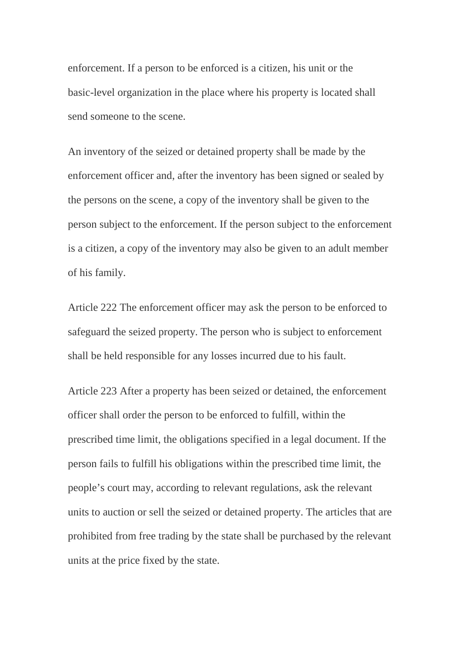enforcement. If a person to be enforced is a citizen, his unit or the basic-level organization in the place where his property is located shall send someone to the scene.

An inventory of the seized or detained property shall be made by the enforcement officer and, after the inventory has been signed or sealed by the persons on the scene, a copy of the inventory shall be given to the person subject to the enforcement. If the person subject to the enforcement is a citizen, a copy of the inventory may also be given to an adult member of his family.

Article 222 The enforcement officer may ask the person to be enforced to safeguard the seized property. The person who is subject to enforcement shall be held responsible for any losses incurred due to his fault.

Article 223 After a property has been seized or detained, the enforcement officer shall order the person to be enforced to fulfill, within the prescribed time limit, the obligations specified in a legal document. If the person fails to fulfill his obligations within the prescribed time limit, the people's court may, according to relevant regulations, ask the relevant units to auction or sell the seized or detained property. The articles that are prohibited from free trading by the state shall be purchased by the relevant units at the price fixed by the state.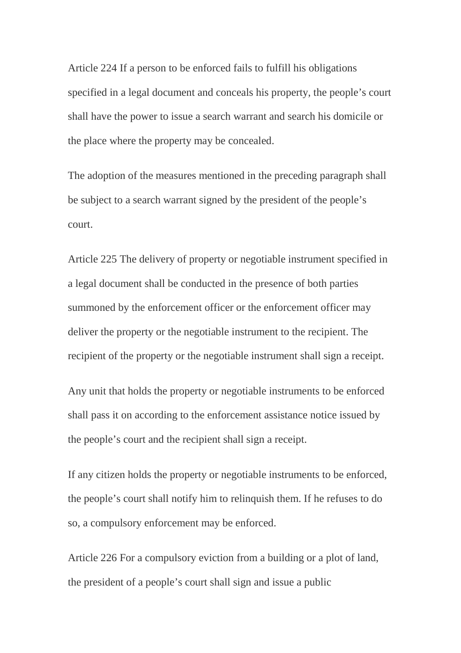Article 224 If a person to be enforced fails to fulfill his obligations specified in a legal document and conceals his property, the people's court shall have the power to issue a search warrant and search his domicile or the place where the property may be concealed.

The adoption of the measures mentioned in the preceding paragraph shall be subject to a search warrant signed by the president of the people's court.

Article 225 The delivery of property or negotiable instrument specified in a legal document shall be conducted in the presence of both parties summoned by the enforcement officer or the enforcement officer may deliver the property or the negotiable instrument to the recipient. The recipient of the property or the negotiable instrument shall sign a receipt.

Any unit that holds the property or negotiable instruments to be enforced shall pass it on according to the enforcement assistance notice issued by the people's court and the recipient shall sign a receipt.

If any citizen holds the property or negotiable instruments to be enforced, the people's court shall notify him to relinquish them. If he refuses to do so, a compulsory enforcement may be enforced.

Article 226 For a compulsory eviction from a building or a plot of land, the president of a people's court shall sign and issue a public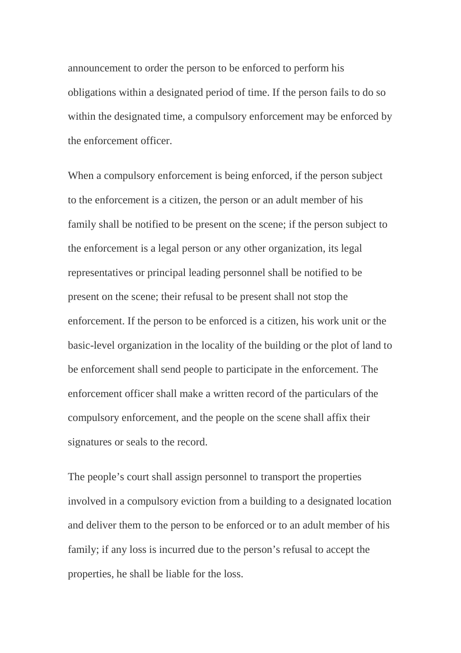announcement to order the person to be enforced to perform his obligations within a designated period of time. If the person fails to do so within the designated time, a compulsory enforcement may be enforced by the enforcement officer.

When a compulsory enforcement is being enforced, if the person subject to the enforcement is a citizen, the person or an adult member of his family shall be notified to be present on the scene; if the person subject to the enforcement is a legal person or any other organization, its legal representatives or principal leading personnel shall be notified to be present on the scene; their refusal to be present shall not stop the enforcement. If the person to be enforced is a citizen, his work unit or the basic-level organization in the locality of the building or the plot of land to be enforcement shall send people to participate in the enforcement. The enforcement officer shall make a written record of the particulars of the compulsory enforcement, and the people on the scene shall affix their signatures or seals to the record.

The people's court shall assign personnel to transport the properties involved in a compulsory eviction from a building to a designated location and deliver them to the person to be enforced or to an adult member of his family; if any loss is incurred due to the person's refusal to accept the properties, he shall be liable for the loss.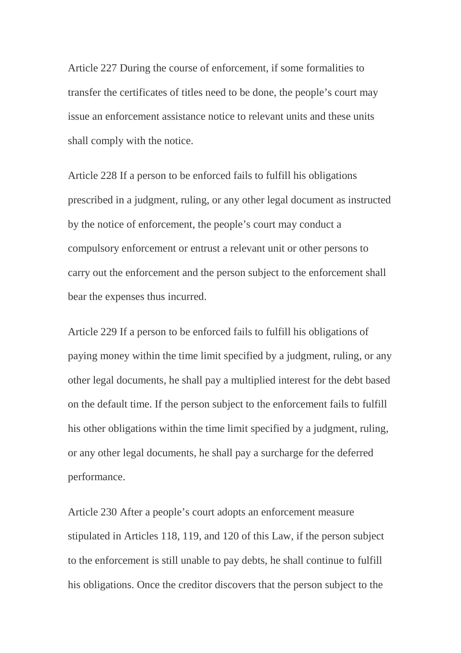Article 227 During the course of enforcement, if some formalities to transfer the certificates of titles need to be done, the people's court may issue an enforcement assistance notice to relevant units and these units shall comply with the notice.

Article 228 If a person to be enforced fails to fulfill his obligations prescribed in a judgment, ruling, or any other legal document as instructed by the notice of enforcement, the people's court may conduct a compulsory enforcement or entrust a relevant unit or other persons to carry out the enforcement and the person subject to the enforcement shall bear the expenses thus incurred.

Article 229 If a person to be enforced fails to fulfill his obligations of paying money within the time limit specified by a judgment, ruling, or any other legal documents, he shall pay a multiplied interest for the debt based on the default time. If the person subject to the enforcement fails to fulfill his other obligations within the time limit specified by a judgment, ruling, or any other legal documents, he shall pay a surcharge for the deferred performance.

Article 230 After a people's court adopts an enforcement measure stipulated in Articles 118, 119, and 120 of this Law, if the person subject to the enforcement is still unable to pay debts, he shall continue to fulfill his obligations. Once the creditor discovers that the person subject to the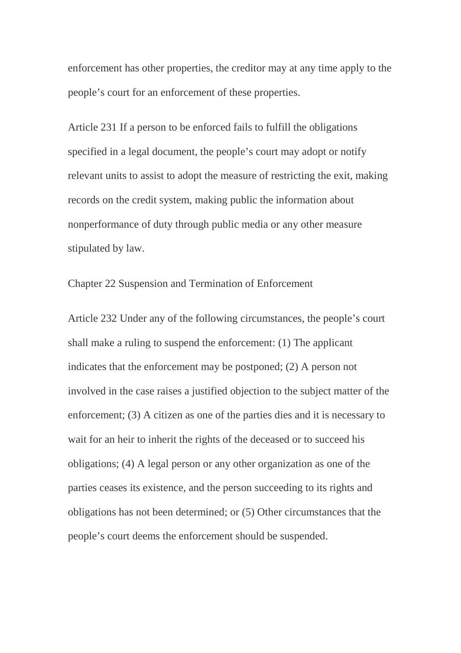enforcement has other properties, the creditor may at any time apply to the people's court for an enforcement of these properties.

Article 231 If a person to be enforced fails to fulfill the obligations specified in a legal document, the people's court may adopt or notify relevant units to assist to adopt the measure of restricting the exit, making records on the credit system, making public the information about nonperformance of duty through public media or any other measure stipulated by law.

Chapter 22 Suspension and Termination of Enforcement

Article 232 Under any of the following circumstances, the people's court shall make a ruling to suspend the enforcement: (1) The applicant indicates that the enforcement may be postponed; (2) A person not involved in the case raises a justified objection to the subject matter of the enforcement; (3) A citizen as one of the parties dies and it is necessary to wait for an heir to inherit the rights of the deceased or to succeed his obligations; (4) A legal person or any other organization as one of the parties ceases its existence, and the person succeeding to its rights and obligations has not been determined; or (5) Other circumstances that the people's court deems the enforcement should be suspended.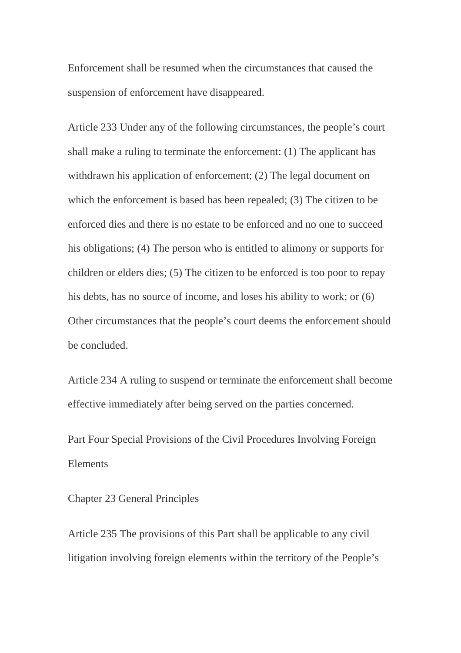Enforcement shall be resumed when the circumstances that caused the suspension of enforcement have disappeared.

Article 233 Under any of the following circumstances, the people's court shall make a ruling to terminate the enforcement: (1) The applicant has withdrawn his application of enforcement; (2) The legal document on which the enforcement is based has been repealed; (3) The citizen to be enforced dies and there is no estate to be enforced and no one to succeed his obligations; (4) The person who is entitled to alimony or supports for children or elders dies; (5) The citizen to be enforced is too poor to repay his debts, has no source of income, and loses his ability to work; or (6) Other circumstances that the people's court deems the enforcement should be concluded.

Article 234 A ruling to suspend or terminate the enforcement shall become effective immediately after being served on the parties concerned.

Part Four Special Provisions of the Civil Procedures Involving Foreign Elements

## Chapter 23 General Principles

Article 235 The provisions of this Part shall be applicable to any civil litigation involving foreign elements within the territory of the People's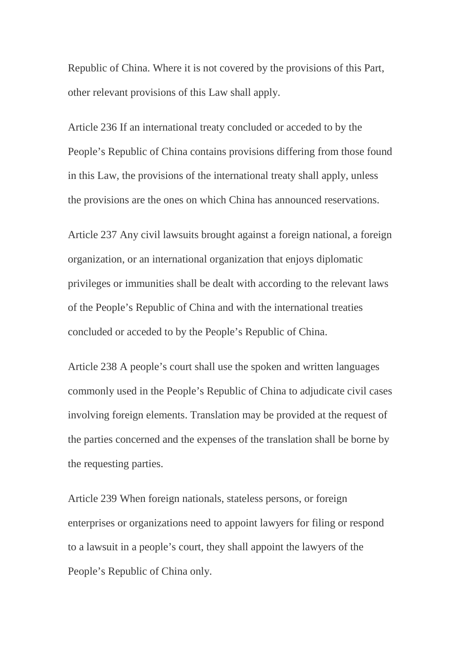Republic of China. Where it is not covered by the provisions of this Part, other relevant provisions of this Law shall apply.

Article 236 If an international treaty concluded or acceded to by the People's Republic of China contains provisions differing from those found in this Law, the provisions of the international treaty shall apply, unless the provisions are the ones on which China has announced reservations.

Article 237 Any civil lawsuits brought against a foreign national, a foreign organization, or an international organization that enjoys diplomatic privileges or immunities shall be dealt with according to the relevant laws of the People's Republic of China and with the international treaties concluded or acceded to by the People's Republic of China.

Article 238 A people's court shall use the spoken and written languages commonly used in the People's Republic of China to adjudicate civil cases involving foreign elements. Translation may be provided at the request of the parties concerned and the expenses of the translation shall be borne by the requesting parties.

Article 239 When foreign nationals, stateless persons, or foreign enterprises or organizations need to appoint lawyers for filing or respond to a lawsuit in a people's court, they shall appoint the lawyers of the People's Republic of China only.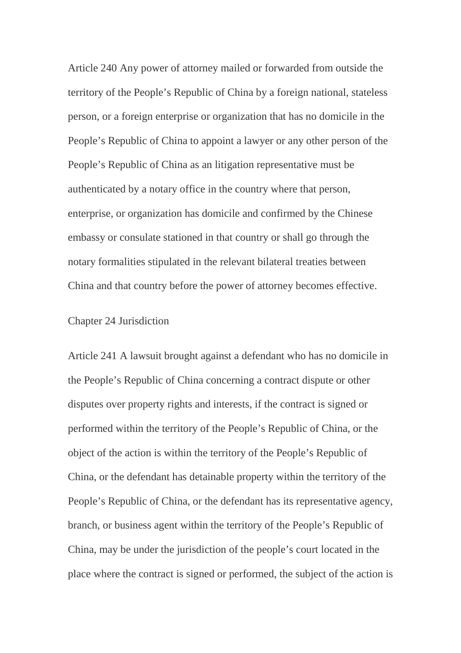Article 240 Any power of attorney mailed or forwarded from outside the territory of the People's Republic of China by a foreign national, stateless person, or a foreign enterprise or organization that has no domicile in the People's Republic of China to appoint a lawyer or any other person of the People's Republic of China as an litigation representative must be authenticated by a notary office in the country where that person, enterprise, or organization has domicile and confirmed by the Chinese embassy or consulate stationed in that country or shall go through the notary formalities stipulated in the relevant bilateral treaties between China and that country before the power of attorney becomes effective.

## Chapter 24 Jurisdiction

Article 241 A lawsuit brought against a defendant who has no domicile in the People's Republic of China concerning a contract dispute or other disputes over property rights and interests, if the contract is signed or performed within the territory of the People's Republic of China, or the object of the action is within the territory of the People's Republic of China, or the defendant has detainable property within the territory of the People's Republic of China, or the defendant has its representative agency, branch, or business agent within the territory of the People's Republic of China, may be under the jurisdiction of the people's court located in the place where the contract is signed or performed, the subject of the action is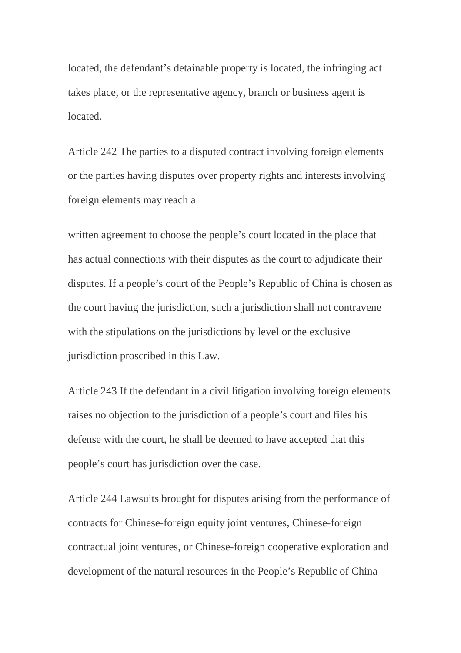located, the defendant's detainable property is located, the infringing act takes place, or the representative agency, branch or business agent is located.

Article 242 The parties to a disputed contract involving foreign elements or the parties having disputes over property rights and interests involving foreign elements may reach a

written agreement to choose the people's court located in the place that has actual connections with their disputes as the court to adjudicate their disputes. If a people's court of the People's Republic of China is chosen as the court having the jurisdiction, such a jurisdiction shall not contravene with the stipulations on the jurisdictions by level or the exclusive jurisdiction proscribed in this Law.

Article 243 If the defendant in a civil litigation involving foreign elements raises no objection to the jurisdiction of a people's court and files his defense with the court, he shall be deemed to have accepted that this people's court has jurisdiction over the case.

Article 244 Lawsuits brought for disputes arising from the performance of contracts for Chinese-foreign equity joint ventures, Chinese-foreign contractual joint ventures, or Chinese-foreign cooperative exploration and development of the natural resources in the People's Republic of China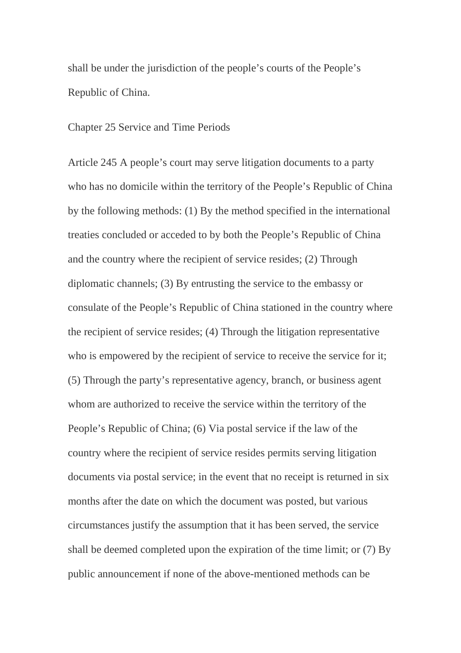shall be under the jurisdiction of the people's courts of the People's Republic of China.

Chapter 25 Service and Time Periods

Article 245 A people's court may serve litigation documents to a party who has no domicile within the territory of the People's Republic of China by the following methods: (1) By the method specified in the international treaties concluded or acceded to by both the People's Republic of China and the country where the recipient of service resides; (2) Through diplomatic channels; (3) By entrusting the service to the embassy or consulate of the People's Republic of China stationed in the country where the recipient of service resides; (4) Through the litigation representative who is empowered by the recipient of service to receive the service for it; (5) Through the party's representative agency, branch, or business agent whom are authorized to receive the service within the territory of the People's Republic of China; (6) Via postal service if the law of the country where the recipient of service resides permits serving litigation documents via postal service; in the event that no receipt is returned in six months after the date on which the document was posted, but various circumstances justify the assumption that it has been served, the service shall be deemed completed upon the expiration of the time limit; or (7) By public announcement if none of the above-mentioned methods can be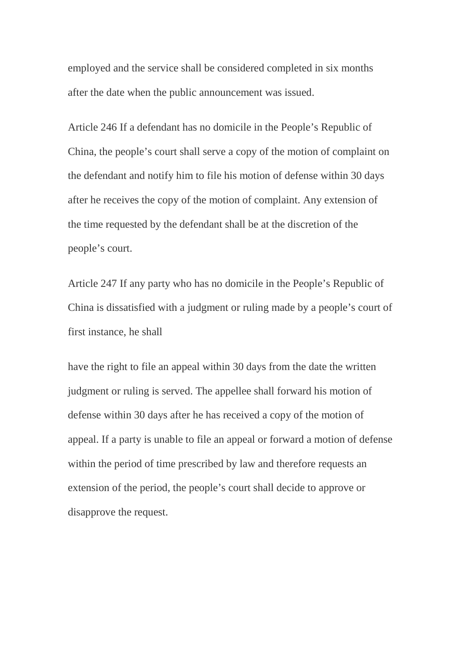employed and the service shall be considered completed in six months after the date when the public announcement was issued.

Article 246 If a defendant has no domicile in the People's Republic of China, the people's court shall serve a copy of the motion of complaint on the defendant and notify him to file his motion of defense within 30 days after he receives the copy of the motion of complaint. Any extension of the time requested by the defendant shall be at the discretion of the people's court.

Article 247 If any party who has no domicile in the People's Republic of China is dissatisfied with a judgment or ruling made by a people's court of first instance, he shall

have the right to file an appeal within 30 days from the date the written judgment or ruling is served. The appellee shall forward his motion of defense within 30 days after he has received a copy of the motion of appeal. If a party is unable to file an appeal or forward a motion of defense within the period of time prescribed by law and therefore requests an extension of the period, the people's court shall decide to approve or disapprove the request.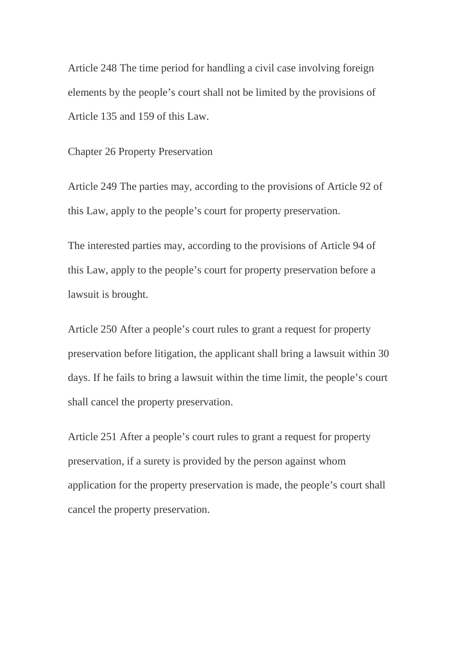Article 248 The time period for handling a civil case involving foreign elements by the people's court shall not be limited by the provisions of Article 135 and 159 of this Law.

Chapter 26 Property Preservation

Article 249 The parties may, according to the provisions of Article 92 of this Law, apply to the people's court for property preservation.

The interested parties may, according to the provisions of Article 94 of this Law, apply to the people's court for property preservation before a lawsuit is brought.

Article 250 After a people's court rules to grant a request for property preservation before litigation, the applicant shall bring a lawsuit within 30 days. If he fails to bring a lawsuit within the time limit, the people's court shall cancel the property preservation.

Article 251 After a people's court rules to grant a request for property preservation, if a surety is provided by the person against whom application for the property preservation is made, the people's court shall cancel the property preservation.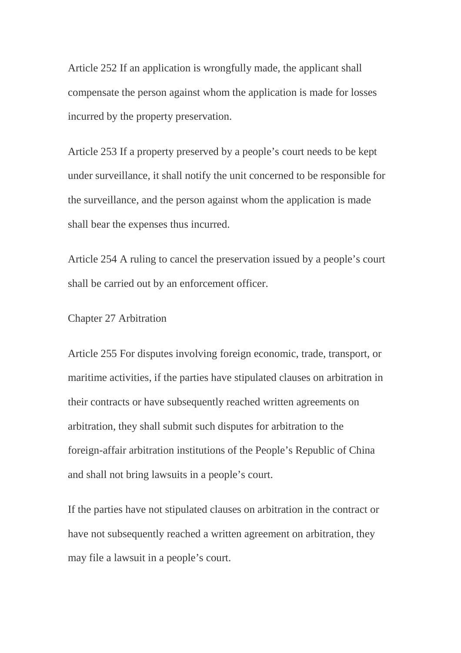Article 252 If an application is wrongfully made, the applicant shall compensate the person against whom the application is made for losses incurred by the property preservation.

Article 253 If a property preserved by a people's court needs to be kept under surveillance, it shall notify the unit concerned to be responsible for the surveillance, and the person against whom the application is made shall bear the expenses thus incurred.

Article 254 A ruling to cancel the preservation issued by a people's court shall be carried out by an enforcement officer.

Chapter 27 Arbitration

Article 255 For disputes involving foreign economic, trade, transport, or maritime activities, if the parties have stipulated clauses on arbitration in their contracts or have subsequently reached written agreements on arbitration, they shall submit such disputes for arbitration to the foreign-affair arbitration institutions of the People's Republic of China and shall not bring lawsuits in a people's court.

If the parties have not stipulated clauses on arbitration in the contract or have not subsequently reached a written agreement on arbitration, they may file a lawsuit in a people's court.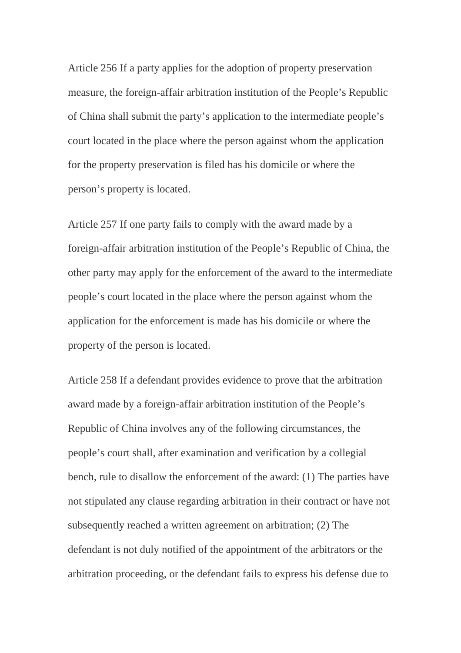Article 256 If a party applies for the adoption of property preservation measure, the foreign-affair arbitration institution of the People's Republic of China shall submit the party's application to the intermediate people's court located in the place where the person against whom the application for the property preservation is filed has his domicile or where the person's property is located.

Article 257 If one party fails to comply with the award made by a foreign-affair arbitration institution of the People's Republic of China, the other party may apply for the enforcement of the award to the intermediate people's court located in the place where the person against whom the application for the enforcement is made has his domicile or where the property of the person is located.

Article 258 If a defendant provides evidence to prove that the arbitration award made by a foreign-affair arbitration institution of the People's Republic of China involves any of the following circumstances, the people's court shall, after examination and verification by a collegial bench, rule to disallow the enforcement of the award: (1) The parties have not stipulated any clause regarding arbitration in their contract or have not subsequently reached a written agreement on arbitration; (2) The defendant is not duly notified of the appointment of the arbitrators or the arbitration proceeding, or the defendant fails to express his defense due to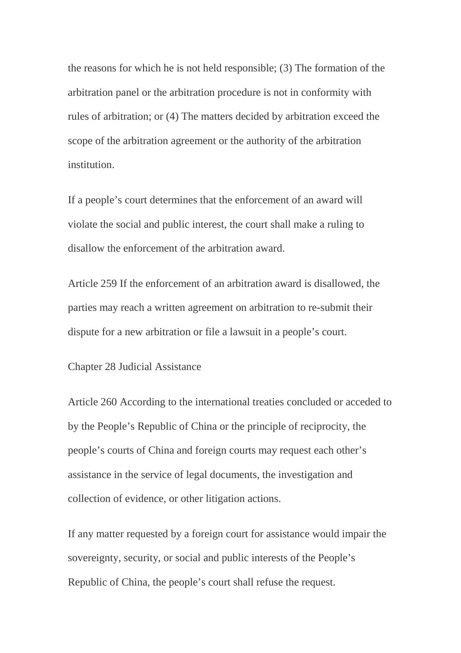the reasons for which he is not held responsible; (3) The formation of the arbitration panel or the arbitration procedure is not in conformity with rules of arbitration; or (4) The matters decided by arbitration exceed the scope of the arbitration agreement or the authority of the arbitration institution.

If a people's court determines that the enforcement of an award will violate the social and public interest, the court shall make a ruling to disallow the enforcement of the arbitration award.

Article 259 If the enforcement of an arbitration award is disallowed, the parties may reach a written agreement on arbitration to re-submit their dispute for a new arbitration or file a lawsuit in a people's court.

Chapter 28 Judicial Assistance

Article 260 According to the international treaties concluded or acceded to by the People's Republic of China or the principle of reciprocity, the people's courts of China and foreign courts may request each other's assistance in the service of legal documents, the investigation and collection of evidence, or other litigation actions.

If any matter requested by a foreign court for assistance would impair the sovereignty, security, or social and public interests of the People's Republic of China, the people's court shall refuse the request.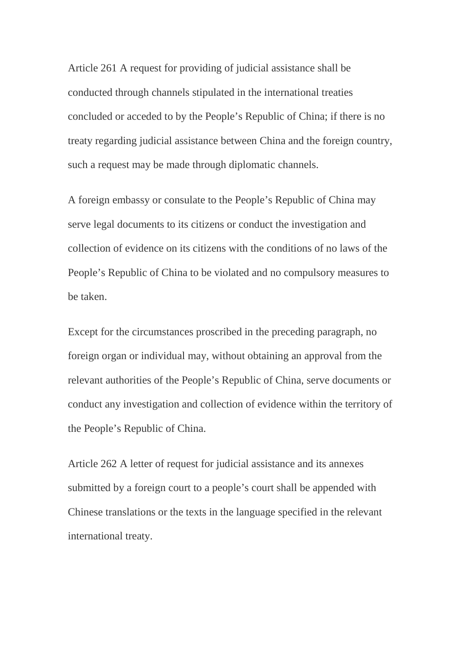Article 261 A request for providing of judicial assistance shall be conducted through channels stipulated in the international treaties concluded or acceded to by the People's Republic of China; if there is no treaty regarding judicial assistance between China and the foreign country, such a request may be made through diplomatic channels.

A foreign embassy or consulate to the People's Republic of China may serve legal documents to its citizens or conduct the investigation and collection of evidence on its citizens with the conditions of no laws of the People's Republic of China to be violated and no compulsory measures to be taken.

Except for the circumstances proscribed in the preceding paragraph, no foreign organ or individual may, without obtaining an approval from the relevant authorities of the People's Republic of China, serve documents or conduct any investigation and collection of evidence within the territory of the People's Republic of China.

Article 262 A letter of request for judicial assistance and its annexes submitted by a foreign court to a people's court shall be appended with Chinese translations or the texts in the language specified in the relevant international treaty.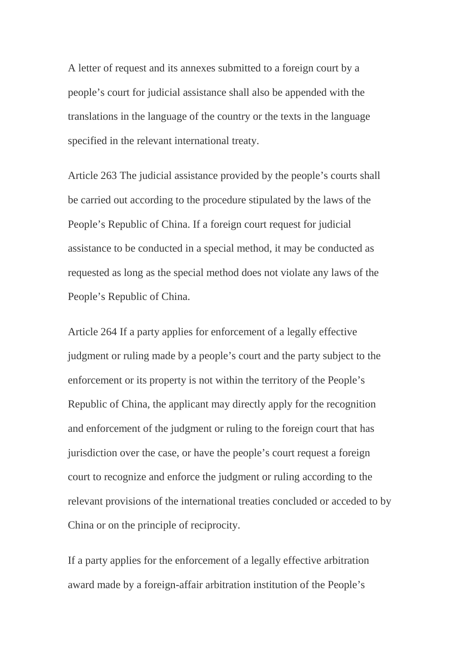A letter of request and its annexes submitted to a foreign court by a people's court for judicial assistance shall also be appended with the translations in the language of the country or the texts in the language specified in the relevant international treaty.

Article 263 The judicial assistance provided by the people's courts shall be carried out according to the procedure stipulated by the laws of the People's Republic of China. If a foreign court request for judicial assistance to be conducted in a special method, it may be conducted as requested as long as the special method does not violate any laws of the People's Republic of China.

Article 264 If a party applies for enforcement of a legally effective judgment or ruling made by a people's court and the party subject to the enforcement or its property is not within the territory of the People's Republic of China, the applicant may directly apply for the recognition and enforcement of the judgment or ruling to the foreign court that has jurisdiction over the case, or have the people's court request a foreign court to recognize and enforce the judgment or ruling according to the relevant provisions of the international treaties concluded or acceded to by China or on the principle of reciprocity.

If a party applies for the enforcement of a legally effective arbitration award made by a foreign-affair arbitration institution of the People's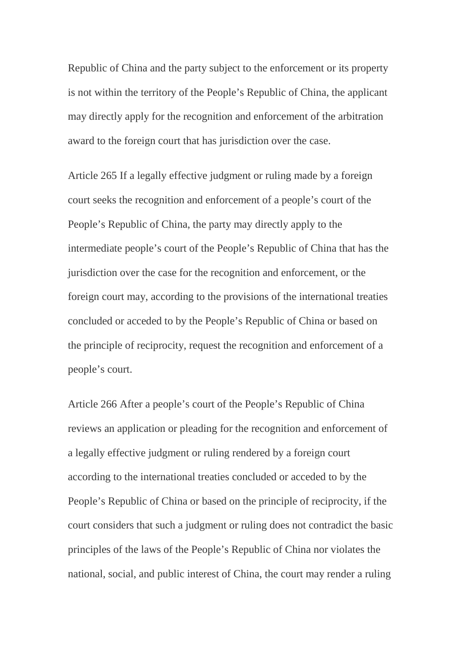Republic of China and the party subject to the enforcement or its property is not within the territory of the People's Republic of China, the applicant may directly apply for the recognition and enforcement of the arbitration award to the foreign court that has jurisdiction over the case.

Article 265 If a legally effective judgment or ruling made by a foreign court seeks the recognition and enforcement of a people's court of the People's Republic of China, the party may directly apply to the intermediate people's court of the People's Republic of China that has the jurisdiction over the case for the recognition and enforcement, or the foreign court may, according to the provisions of the international treaties concluded or acceded to by the People's Republic of China or based on the principle of reciprocity, request the recognition and enforcement of a people's court.

Article 266 After a people's court of the People's Republic of China reviews an application or pleading for the recognition and enforcement of a legally effective judgment or ruling rendered by a foreign court according to the international treaties concluded or acceded to by the People's Republic of China or based on the principle of reciprocity, if the court considers that such a judgment or ruling does not contradict the basic principles of the laws of the People's Republic of China nor violates the national, social, and public interest of China, the court may render a ruling